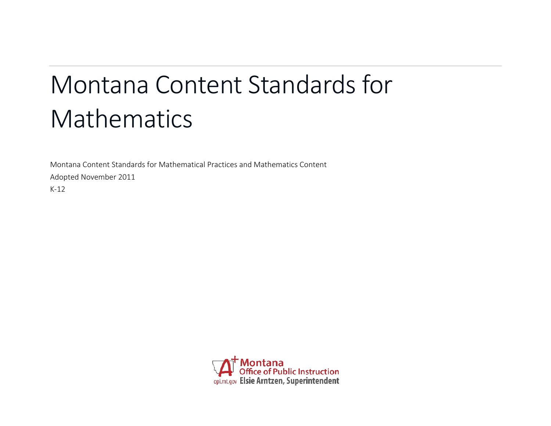# Montana Content Standards for Mathematics

Montana Content Standards for Mathematical Practices and Mathematics Content Adopted November 2011

K-12

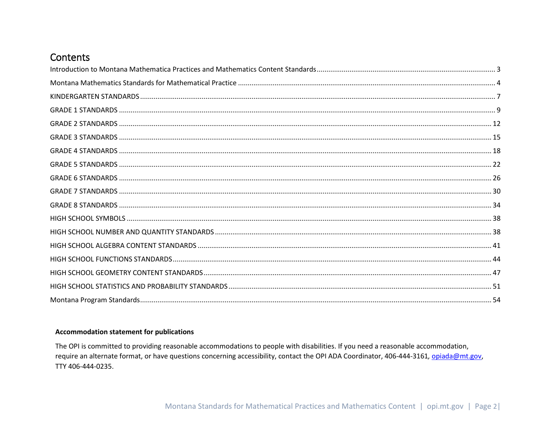# **Contents**

#### **Accommodation statement for publications**

The OPI is committed to providing reasonable accommodations to people with disabilities. If you need a reasonable accommodation, require an alternate format, or have questions concerning accessibility, contact the OPI ADA Coordinator, 406-444-3161, opiada@mt.gov, TTY 406-444-0235.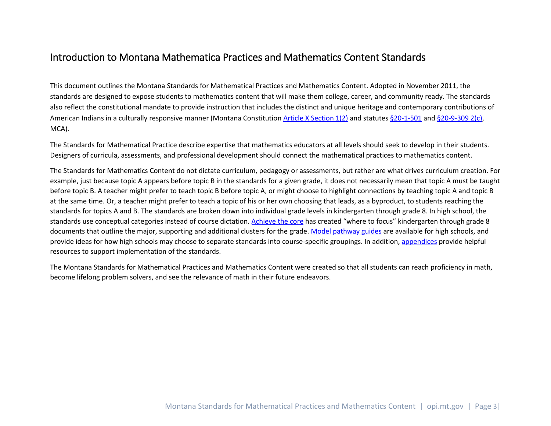# <span id="page-2-0"></span>Introduction to Montana Mathematica Practices and Mathematics Content Standards

This document outlines the Montana Standards for Mathematical Practices and Mathematics Content. Adopted in November 2011, the standards are designed to expose students to mathematics content that will make them college, career, and community ready. The standards also reflect the constitutional mandate to provide instruction that includes the distinct and unique heritage and contemporary contributions of American Indians in a culturally responsive manner (Montana Constitution Article X Section  $1(2)$  and statutes  $\S 20$ -1-501 and  $\S 20$ -9-309  $2(c)$ , MCA).

The Standards for Mathematical Practice describe expertise that mathematics educators at all levels should seek to develop in their students. Designers of curricula, assessments, and professional development should connect the mathematical practices to mathematics content.

The Standards for Mathematics Content do not dictate curriculum, pedagogy or assessments, but rather are what drives curriculum creation. For example, just because topic A appears before topic B in the standards for a given grade, it does not necessarily mean that topic A must be taught before topic B. A teacher might prefer to teach topic B before topic A, or might choose to highlight connections by teaching topic A and topic B at the same time. Or, a teacher might prefer to teach a topic of his or her own choosing that leads, as a byproduct, to students reaching the standards for topics A and B. The standards are broken down into individual grade levels in kindergarten through grade 8. In high school, the standards use conceptual categories instead of course dictation. [Achieve the core](https://achievethecore.org/content/upload/SAP%20Focus%20Math%20K%E2%80%938%2011.12.14.pdf) has created "where to focus" kindergarten through grade 8 documents that outline the major, supporting and additional clusters for the grade. [Model pathway](http://montanateach.org/resources/montana-content-standards-for-mathematics-model-pathways-for-high-school/) guides are available for high schools, and provide ideas for how high schools may choose to separate standards into course-specific groupings. In addition, [appendices](http://montanateach.org/wp-content/uploads/2017/10/Montana-Mathematics-Standards-Appendix-1.pdf) provide helpful resources to support implementation of the standards.

The Montana Standards for Mathematical Practices and Mathematics Content were created so that all students can reach proficiency in math, become lifelong problem solvers, and see the relevance of math in their future endeavors.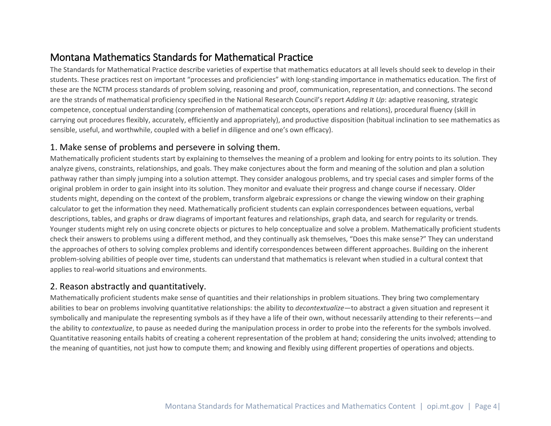# <span id="page-3-0"></span>Montana Mathematics Standards for Mathematical Practice

The Standards for Mathematical Practice describe varieties of expertise that mathematics educators at all levels should seek to develop in their students. These practices rest on important "processes and proficiencies" with long-standing importance in mathematics education. The first of these are the NCTM process standards of problem solving, reasoning and proof, communication, representation, and connections. The second are the strands of mathematical proficiency specified in the National Research Council's report *Adding It Up*: adaptive reasoning, strategic competence, conceptual understanding (comprehension of mathematical concepts, operations and relations), procedural fluency (skill in carrying out procedures flexibly, accurately, efficiently and appropriately), and productive disposition (habitual inclination to see mathematics as sensible, useful, and worthwhile, coupled with a belief in diligence and one's own efficacy).

## 1. Make sense of problems and persevere in solving them.

Mathematically proficient students start by explaining to themselves the meaning of a problem and looking for entry points to its solution. They analyze givens, constraints, relationships, and goals. They make conjectures about the form and meaning of the solution and plan a solution pathway rather than simply jumping into a solution attempt. They consider analogous problems, and try special cases and simpler forms of the original problem in order to gain insight into its solution. They monitor and evaluate their progress and change course if necessary. Older students might, depending on the context of the problem, transform algebraic expressions or change the viewing window on their graphing calculator to get the information they need. Mathematically proficient students can explain correspondences between equations, verbal descriptions, tables, and graphs or draw diagrams of important features and relationships, graph data, and search for regularity or trends. Younger students might rely on using concrete objects or pictures to help conceptualize and solve a problem. Mathematically proficient students check their answers to problems using a different method, and they continually ask themselves, "Does this make sense?" They can understand the approaches of others to solving complex problems and identify correspondences between different approaches. Building on the inherent problem-solving abilities of people over time, students can understand that mathematics is relevant when studied in a cultural context that applies to real-world situations and environments.

## 2. Reason abstractly and quantitatively.

Mathematically proficient students make sense of quantities and their relationships in problem situations. They bring two complementary abilities to bear on problems involving quantitative relationships: the ability to *decontextualize*—to abstract a given situation and represent it symbolically and manipulate the representing symbols as if they have a life of their own, without necessarily attending to their referents—and the ability to *contextualize*, to pause as needed during the manipulation process in order to probe into the referents for the symbols involved. Quantitative reasoning entails habits of creating a coherent representation of the problem at hand; considering the units involved; attending to the meaning of quantities, not just how to compute them; and knowing and flexibly using different properties of operations and objects.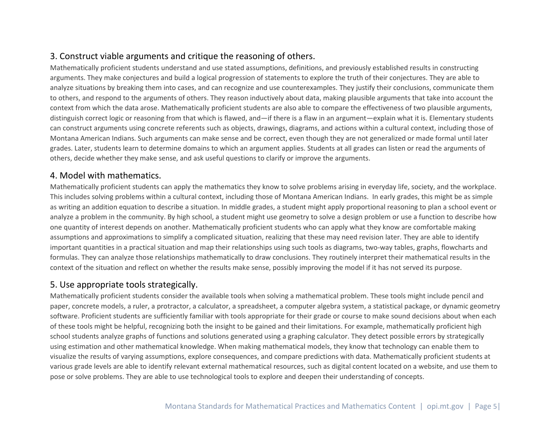# 3. Construct viable arguments and critique the reasoning of others.

Mathematically proficient students understand and use stated assumptions, definitions, and previously established results in constructing arguments. They make conjectures and build a logical progression of statements to explore the truth of their conjectures. They are able to analyze situations by breaking them into cases, and can recognize and use counterexamples. They justify their conclusions, communicate them to others, and respond to the arguments of others. They reason inductively about data, making plausible arguments that take into account the context from which the data arose. Mathematically proficient students are also able to compare the effectiveness of two plausible arguments, distinguish correct logic or reasoning from that which is flawed, and—if there is a flaw in an argument—explain what it is. Elementary students can construct arguments using concrete referents such as objects, drawings, diagrams, and actions within a cultural context, including those of Montana American Indians. Such arguments can make sense and be correct, even though they are not generalized or made formal until later grades. Later, students learn to determine domains to which an argument applies. Students at all grades can listen or read the arguments of others, decide whether they make sense, and ask useful questions to clarify or improve the arguments.

## 4. Model with mathematics.

Mathematically proficient students can apply the mathematics they know to solve problems arising in everyday life, society, and the workplace. This includes solving problems within a cultural context, including those of Montana American Indians. In early grades, this might be as simple as writing an addition equation to describe a situation. In middle grades, a student might apply proportional reasoning to plan a school event or analyze a problem in the community. By high school, a student might use geometry to solve a design problem or use a function to describe how one quantity of interest depends on another. Mathematically proficient students who can apply what they know are comfortable making assumptions and approximations to simplify a complicated situation, realizing that these may need revision later. They are able to identify important quantities in a practical situation and map their relationships using such tools as diagrams, two-way tables, graphs, flowcharts and formulas. They can analyze those relationships mathematically to draw conclusions. They routinely interpret their mathematical results in the context of the situation and reflect on whether the results make sense, possibly improving the model if it has not served its purpose.

## 5. Use appropriate tools strategically.

Mathematically proficient students consider the available tools when solving a mathematical problem. These tools might include pencil and paper, concrete models, a ruler, a protractor, a calculator, a spreadsheet, a computer algebra system, a statistical package, or dynamic geometry software. Proficient students are sufficiently familiar with tools appropriate for their grade or course to make sound decisions about when each of these tools might be helpful, recognizing both the insight to be gained and their limitations. For example, mathematically proficient high school students analyze graphs of functions and solutions generated using a graphing calculator. They detect possible errors by strategically using estimation and other mathematical knowledge. When making mathematical models, they know that technology can enable them to visualize the results of varying assumptions, explore consequences, and compare predictions with data. Mathematically proficient students at various grade levels are able to identify relevant external mathematical resources, such as digital content located on a website, and use them to pose or solve problems. They are able to use technological tools to explore and deepen their understanding of concepts.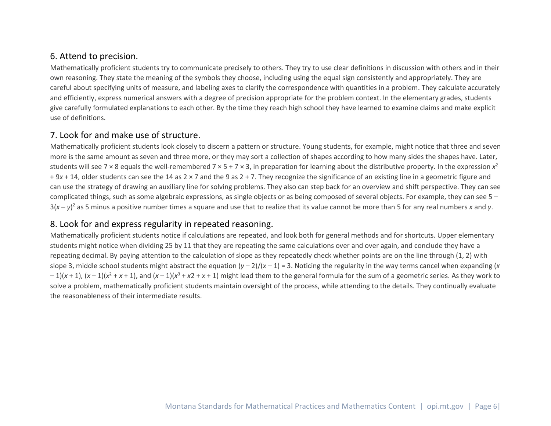# 6. Attend to precision.

Mathematically proficient students try to communicate precisely to others. They try to use clear definitions in discussion with others and in their own reasoning. They state the meaning of the symbols they choose, including using the equal sign consistently and appropriately. They are careful about specifying units of measure, and labeling axes to clarify the correspondence with quantities in a problem. They calculate accurately and efficiently, express numerical answers with a degree of precision appropriate for the problem context. In the elementary grades, students give carefully formulated explanations to each other. By the time they reach high school they have learned to examine claims and make explicit use of definitions.

# 7. Look for and make use of structure.

Mathematically proficient students look closely to discern a pattern or structure. Young students, for example, might notice that three and seven more is the same amount as seven and three more, or they may sort a collection of shapes according to how many sides the shapes have. Later, students will see 7 × 8 equals the well-remembered 7 × 5 + 7 × 3, in preparation for learning about the distributive property. In the expression  $x^2$ + 9*x* + 14, older students can see the 14 as 2 × 7 and the 9 as 2 + 7. They recognize the significance of an existing line in a geometric figure and can use the strategy of drawing an auxiliary line for solving problems. They also can step back for an overview and shift perspective. They can see complicated things, such as some algebraic expressions, as single objects or as being composed of several objects. For example, they can see 5 – 3(*x* – *y*) <sup>2</sup> as 5 minus a positive number times a square and use that to realize that its value cannot be more than 5 for any real numbers *x* and *y*.

# 8. Look for and express regularity in repeated reasoning.

Mathematically proficient students notice if calculations are repeated, and look both for general methods and for shortcuts. Upper elementary students might notice when dividing 25 by 11 that they are repeating the same calculations over and over again, and conclude they have a repeating decimal. By paying attention to the calculation of slope as they repeatedly check whether points are on the line through (1, 2) with slope 3, middle school students might abstract the equation  $(y-2)/(x-1) = 3$ . Noticing the regularity in the way terms cancel when expanding (*x*  $(1)(x + 1)$ ,  $(x - 1)(x<sup>2</sup> + x + 1)$ , and  $(x - 1)(x<sup>3</sup> + x<sup>2</sup> + x + 1)$  might lead them to the general formula for the sum of a geometric series. As they work to solve a problem, mathematically proficient students maintain oversight of the process, while attending to the details. They continually evaluate the reasonableness of their intermediate results.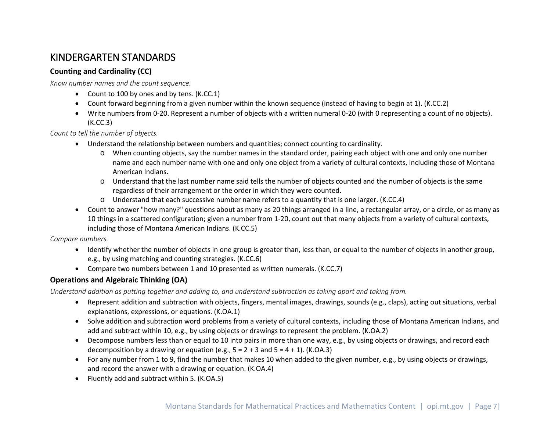# <span id="page-6-0"></span>KINDERGARTEN STANDARDS

## **Counting and Cardinality (CC)**

*Know number names and the count sequence.* 

- Count to 100 by ones and by tens. (K.CC.1)
- Count forward beginning from a given number within the known sequence (instead of having to begin at 1). (K.CC.2)
- Write numbers from 0-20. Represent a number of objects with a written numeral 0-20 (with 0 representing a count of no objects). (K.CC.3)

*Count to tell the number of objects.* 

- Understand the relationship between numbers and quantities; connect counting to cardinality.
	- o When counting objects, say the number names in the standard order, pairing each object with one and only one number name and each number name with one and only one object from a variety of cultural contexts, including those of Montana American Indians.
	- o Understand that the last number name said tells the number of objects counted and the number of objects is the same regardless of their arrangement or the order in which they were counted.
	- o Understand that each successive number name refers to a quantity that is one larger. (K.CC.4)
- Count to answer "how many?" questions about as many as 20 things arranged in a line, a rectangular array, or a circle, or as many as 10 things in a scattered configuration; given a number from 1-20, count out that many objects from a variety of cultural contexts, including those of Montana American Indians. (K.CC.5)

*Compare numbers.* 

- Identify whether the number of objects in one group is greater than, less than, or equal to the number of objects in another group, e.g., by using matching and counting strategies. (K.CC.6)
- Compare two numbers between 1 and 10 presented as written numerals. (K.CC.7)

#### **Operations and Algebraic Thinking (OA)**

*Understand addition as putting together and adding to, and understand subtraction as taking apart and taking from.* 

- Represent addition and subtraction with objects, fingers, mental images, drawings, sounds (e.g., claps), acting out situations, verbal explanations, expressions, or equations. (K.OA.1)
- Solve addition and subtraction word problems from a variety of cultural contexts, including those of Montana American Indians, and add and subtract within 10, e.g., by using objects or drawings to represent the problem. (K.OA.2)
- Decompose numbers less than or equal to 10 into pairs in more than one way, e.g., by using objects or drawings, and record each decomposition by a drawing or equation (e.g.,  $5 = 2 + 3$  and  $5 = 4 + 1$ ). (K.OA.3)
- For any number from 1 to 9, find the number that makes 10 when added to the given number, e.g., by using objects or drawings, and record the answer with a drawing or equation. (K.OA.4)
- Fluently add and subtract within 5. (K.OA.5)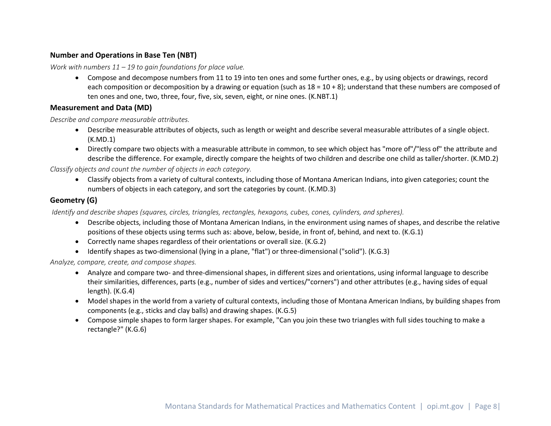#### **Number and Operations in Base Ten (NBT)**

*Work with numbers 11 – 19 to gain foundations for place value.* 

• Compose and decompose numbers from 11 to 19 into ten ones and some further ones, e.g., by using objects or drawings, record each composition or decomposition by a drawing or equation (such as 18 = 10 + 8); understand that these numbers are composed of ten ones and one, two, three, four, five, six, seven, eight, or nine ones. (K.NBT.1)

#### **Measurement and Data (MD)**

*Describe and compare measurable attributes.* 

- Describe measurable attributes of objects, such as length or weight and describe several measurable attributes of a single object. (K.MD.1)
- Directly compare two objects with a measurable attribute in common, to see which object has "more of"/"less of" the attribute and describe the difference. For example, directly compare the heights of two children and describe one child as taller/shorter. (K.MD.2)

*Classify objects and count the number of objects in each category.* 

• Classify objects from a variety of cultural contexts, including those of Montana American Indians, into given categories; count the numbers of objects in each category, and sort the categories by count. (K.MD.3)

#### **Geometry (G)**

*Identify and describe shapes (squares, circles, triangles, rectangles, hexagons, cubes, cones, cylinders, and spheres).* 

- Describe objects, including those of Montana American Indians, in the environment using names of shapes, and describe the relative positions of these objects using terms such as: above, below, beside, in front of, behind, and next to. (K.G.1)
- Correctly name shapes regardless of their orientations or overall size. (K.G.2)
- Identify shapes as two-dimensional (lying in a plane, "flat") or three-dimensional ("solid"). (K.G.3)

*Analyze, compare, create, and compose shapes.* 

- Analyze and compare two- and three-dimensional shapes, in different sizes and orientations, using informal language to describe their similarities, differences, parts (e.g., number of sides and vertices/"corners") and other attributes (e.g., having sides of equal length). (K.G.4)
- Model shapes in the world from a variety of cultural contexts, including those of Montana American Indians, by building shapes from components (e.g., sticks and clay balls) and drawing shapes. (K.G.5)
- Compose simple shapes to form larger shapes. For example, "Can you join these two triangles with full sides touching to make a rectangle?" (K.G.6)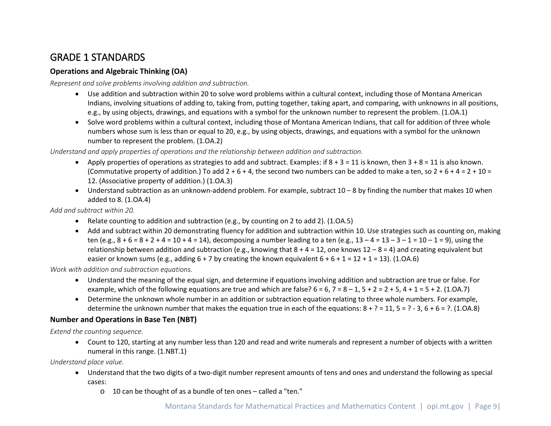# <span id="page-8-0"></span>GRADE 1 STANDARDS

#### **Operations and Algebraic Thinking (OA)**

*Represent and solve problems involving addition and subtraction.* 

- Use addition and subtraction within 20 to solve word problems within a cultural context, including those of Montana American Indians, involving situations of adding to, taking from, putting together, taking apart, and comparing, with unknowns in all positions, e.g., by using objects, drawings, and equations with a symbol for the unknown number to represent the problem. (1.OA.1)
- Solve word problems within a cultural context, including those of Montana American Indians, that call for addition of three whole numbers whose sum is less than or equal to 20, e.g., by using objects, drawings, and equations with a symbol for the unknown number to represent the problem. (1.OA.2)

*Understand and apply properties of operations and the relationship between addition and subtraction.* 

- Apply properties of operations as strategies to add and subtract. Examples: if  $8 + 3 = 11$  is known, then  $3 + 8 = 11$  is also known. (Commutative property of addition.) To add  $2 + 6 + 4$ , the second two numbers can be added to make a ten, so  $2 + 6 + 4 = 2 + 10 =$ 12. (Associative property of addition.) (1.OA.3)
- Understand subtraction as an unknown-addend problem. For example, subtract 10 − 8 by finding the number that makes 10 when added to 8. (1.OA.4)

*Add and subtract within 20.* 

- Relate counting to addition and subtraction (e.g., by counting on 2 to add 2). (1.OA.5)
- Add and subtract within 20 demonstrating fluency for addition and subtraction within 10. Use strategies such as counting on, making ten (e.g.,  $8 + 6 = 8 + 2 + 4 = 10 + 4 = 14$ ), decomposing a number leading to a ten (e.g.,  $13 - 4 = 13 - 3 - 1 = 10 - 1 = 9$ ), using the relationship between addition and subtraction (e.g., knowing that  $8 + 4 = 12$ , one knows  $12 - 8 = 4$ ) and creating equivalent but easier or known sums (e.g., adding  $6 + 7$  by creating the known equivalent  $6 + 6 + 1 = 12 + 1 = 13$ ). (1.0A.6)

*Work with addition and subtraction equations.* 

- Understand the meaning of the equal sign, and determine if equations involving addition and subtraction are true or false. For example, which of the following equations are true and which are false?  $6 = 6$ ,  $7 = 8 - 1$ ,  $5 + 2 = 2 + 5$ ,  $4 + 1 = 5 + 2$ . (1.0A.7)
- Determine the unknown whole number in an addition or subtraction equation relating to three whole numbers. For example, determine the unknown number that makes the equation true in each of the equations:  $8 + ? = 11$ ,  $5 = ? - 3$ ,  $6 + 6 = ?$ . (1.0A.8)

#### **Number and Operations in Base Ten (NBT)**

*Extend the counting sequence.* 

• Count to 120, starting at any number less than 120 and read and write numerals and represent a number of objects with a written numeral in this range. (1.NBT.1)

*Understand place value.* 

- Understand that the two digits of a two-digit number represent amounts of tens and ones and understand the following as special cases:
	- o 10 can be thought of as a bundle of ten ones called a "ten."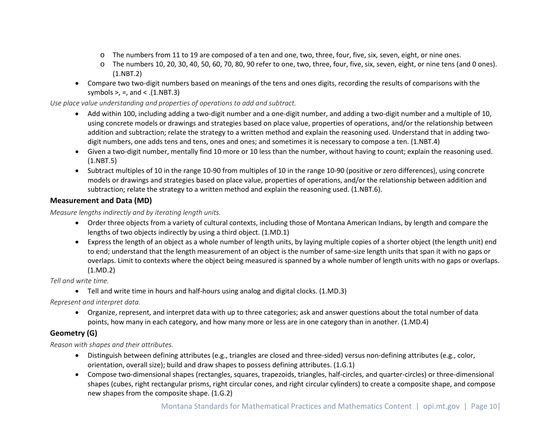- o The numbers from 11 to 19 are composed of a ten and one, two, three, four, five, six, seven, eight, or nine ones.
- o The numbers 10, 20, 30, 40, 50, 60, 70, 80, 90 refer to one, two, three, four, five, six, seven, eight, or nine tens (and 0 ones). (1.NBT.2)
- Compare two two-digit numbers based on meanings of the tens and ones digits, recording the results of comparisons with the symbols  $>$ ,  $=$ , and  $<$  .(1.NBT.3)

*Use place value understanding and properties of operations to add and subtract.*

- Add within 100, including adding a two-digit number and a one-digit number, and adding a two-digit number and a multiple of 10, using concrete models or drawings and strategies based on place value, properties of operations, and/or the relationship between addition and subtraction; relate the strategy to a written method and explain the reasoning used. Understand that in adding twodigit numbers, one adds tens and tens, ones and ones; and sometimes it is necessary to compose a ten. (1.NBT.4)
- Given a two-digit number, mentally find 10 more or 10 less than the number, without having to count; explain the reasoning used. (1.NBT.5)
- Subtract multiples of 10 in the range 10-90 from multiples of 10 in the range 10-90 (positive or zero differences), using concrete models or drawings and strategies based on place value, properties of operations, and/or the relationship between addition and subtraction; relate the strategy to a written method and explain the reasoning used. (1.NBT.6).

## **Measurement and Data (MD)**

*Measure lengths indirectly and by iterating length units.*

- Order three objects from a variety of cultural contexts, including those of Montana American Indians, by length and compare the lengths of two objects indirectly by using a third object. (1.MD.1)
- Express the length of an object as a whole number of length units, by laying multiple copies of a shorter object (the length unit) end to end; understand that the length measurement of an object is the number of same-size length units that span it with no gaps or overlaps. Limit to contexts where the object being measured is spanned by a whole number of length units with no gaps or overlaps. (1.MD.2)

*Tell and write time.*

• Tell and write time in hours and half-hours using analog and digital clocks. (1.MD.3)

*Represent and interpret data.*

• Organize, represent, and interpret data with up to three categories; ask and answer questions about the total number of data points, how many in each category, and how many more or less are in one category than in another. (1.MD.4)

# **Geometry (G)**

*Reason with shapes and their attributes.*

- Distinguish between defining attributes (e.g., triangles are closed and three-sided) versus non-defining attributes (e.g., color, orientation, overall size); build and draw shapes to possess defining attributes. (1.G.1)
- Compose two-dimensional shapes (rectangles, squares, trapezoids, triangles, half-circles, and quarter-circles) or three-dimensional shapes (cubes, right rectangular prisms, right circular cones, and right circular cylinders) to create a composite shape, and compose new shapes from the composite shape. (1.G.2)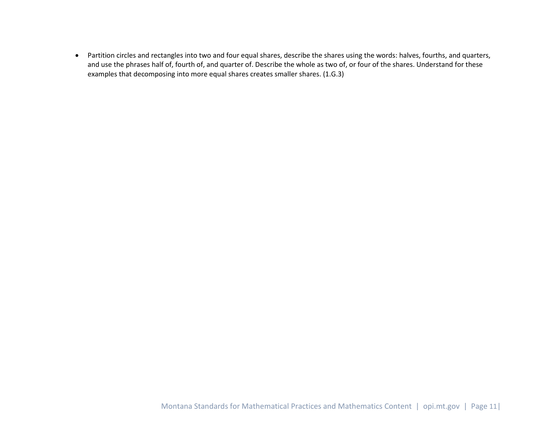• Partition circles and rectangles into two and four equal shares, describe the shares using the words: halves, fourths, and quarters, and use the phrases half of, fourth of, and quarter of. Describe the whole as two of, or four of the shares. Understand for these examples that decomposing into more equal shares creates smaller shares. (1.G.3)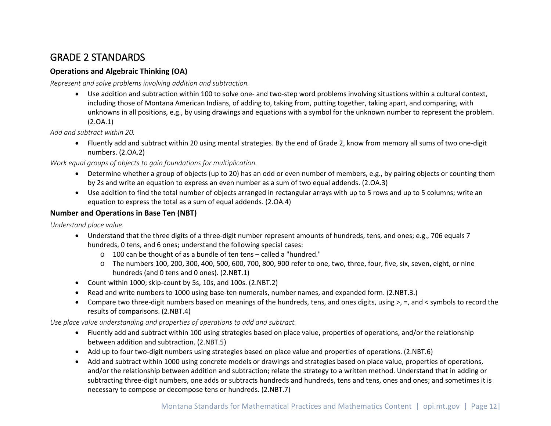# <span id="page-11-0"></span>GRADE 2 STANDARDS

#### **Operations and Algebraic Thinking (OA)**

*Represent and solve problems involving addition and subtraction.* 

• Use addition and subtraction within 100 to solve one- and two-step word problems involving situations within a cultural context, including those of Montana American Indians, of adding to, taking from, putting together, taking apart, and comparing, with unknowns in all positions, e.g., by using drawings and equations with a symbol for the unknown number to represent the problem. (2.OA.1)

*Add and subtract within 20.* 

• Fluently add and subtract within 20 using mental strategies. By the end of Grade 2, know from memory all sums of two one-digit numbers. (2.OA.2)

*Work equal groups of objects to gain foundations for multiplication.* 

- Determine whether a group of objects (up to 20) has an odd or even number of members, e.g., by pairing objects or counting them by 2s and write an equation to express an even number as a sum of two equal addends. (2.OA.3)
- Use addition to find the total number of objects arranged in rectangular arrays with up to 5 rows and up to 5 columns; write an equation to express the total as a sum of equal addends. (2.OA.4)

#### **Number and Operations in Base Ten (NBT)**

*Understand place value.* 

- Understand that the three digits of a three-digit number represent amounts of hundreds, tens, and ones; e.g., 706 equals 7 hundreds, 0 tens, and 6 ones; understand the following special cases:
	- o 100 can be thought of as a bundle of ten tens called a "hundred."
	- o The numbers 100, 200, 300, 400, 500, 600, 700, 800, 900 refer to one, two, three, four, five, six, seven, eight, or nine hundreds (and 0 tens and 0 ones). (2.NBT.1)
- Count within 1000; skip-count by 5s, 10s, and 100s. (2.NBT.2)
- Read and write numbers to 1000 using base-ten numerals, number names, and expanded form. (2.NBT.3.)
- Compare two three-digit numbers based on meanings of the hundreds, tens, and ones digits, using >, =, and < symbols to record the results of comparisons. (2.NBT.4)

*Use place value understanding and properties of operations to add and subtract.* 

- Fluently add and subtract within 100 using strategies based on place value, properties of operations, and/or the relationship between addition and subtraction. (2.NBT.5)
- Add up to four two-digit numbers using strategies based on place value and properties of operations. (2.NBT.6)
- Add and subtract within 1000 using concrete models or drawings and strategies based on place value, properties of operations, and/or the relationship between addition and subtraction; relate the strategy to a written method. Understand that in adding or subtracting three-digit numbers, one adds or subtracts hundreds and hundreds, tens and tens, ones and ones; and sometimes it is necessary to compose or decompose tens or hundreds. (2.NBT.7)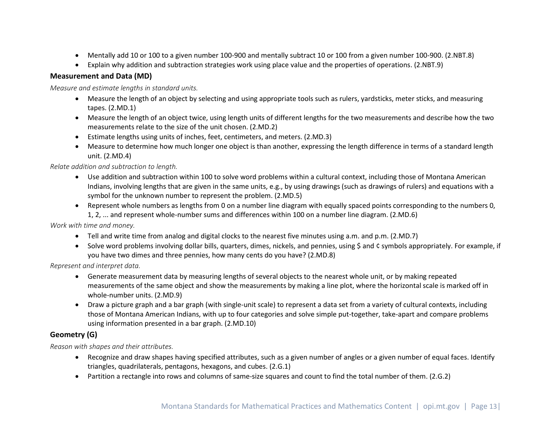- Mentally add 10 or 100 to a given number 100-900 and mentally subtract 10 or 100 from a given number 100-900. (2.NBT.8)
- Explain why addition and subtraction strategies work using place value and the properties of operations. (2.NBT.9)

## **Measurement and Data (MD)**

*Measure and estimate lengths in standard units.*

- Measure the length of an object by selecting and using appropriate tools such as rulers, yardsticks, meter sticks, and measuring tapes. (2.MD.1)
- Measure the length of an object twice, using length units of different lengths for the two measurements and describe how the two measurements relate to the size of the unit chosen. (2.MD.2)
- Estimate lengths using units of inches, feet, centimeters, and meters. (2.MD.3)
- Measure to determine how much longer one object is than another, expressing the length difference in terms of a standard length unit. (2.MD.4)

*Relate addition and subtraction to length.*

- Use addition and subtraction within 100 to solve word problems within a cultural context, including those of Montana American Indians, involving lengths that are given in the same units, e.g., by using drawings (such as drawings of rulers) and equations with a symbol for the unknown number to represent the problem. (2.MD.5)
- Represent whole numbers as lengths from 0 on a number line diagram with equally spaced points corresponding to the numbers 0, 1, 2, ... and represent whole-number sums and differences within 100 on a number line diagram. (2.MD.6)

*Work with time and money.*

- Tell and write time from analog and digital clocks to the nearest five minutes using a.m. and p.m. (2.MD.7)
- Solve word problems involving dollar bills, quarters, dimes, nickels, and pennies, using \$ and ¢ symbols appropriately. For example, if you have two dimes and three pennies, how many cents do you have? (2.MD.8)

*Represent and interpret data.*

- Generate measurement data by measuring lengths of several objects to the nearest whole unit, or by making repeated measurements of the same object and show the measurements by making a line plot, where the horizontal scale is marked off in whole-number units. (2.MD.9)
- Draw a picture graph and a bar graph (with single-unit scale) to represent a data set from a variety of cultural contexts, including those of Montana American Indians, with up to four categories and solve simple put-together, take-apart and compare problems using information presented in a bar graph. (2.MD.10)

## **Geometry (G)**

*Reason with shapes and their attributes.*

- Recognize and draw shapes having specified attributes, such as a given number of angles or a given number of equal faces. Identify triangles, quadrilaterals, pentagons, hexagons, and cubes. (2.G.1)
- Partition a rectangle into rows and columns of same-size squares and count to find the total number of them. (2.G.2)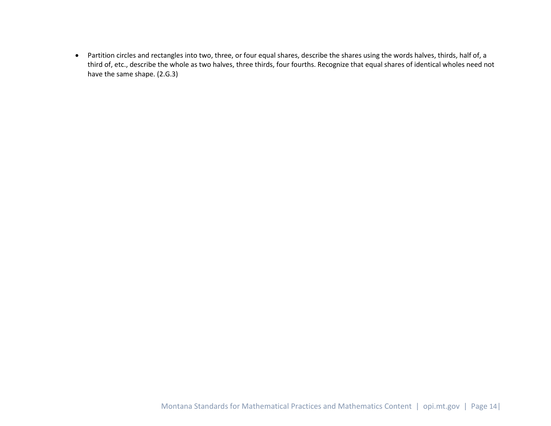• Partition circles and rectangles into two, three, or four equal shares, describe the shares using the words halves, thirds, half of, a third of, etc., describe the whole as two halves, three thirds, four fourths. Recognize that equal shares of identical wholes need not have the same shape. (2.G.3)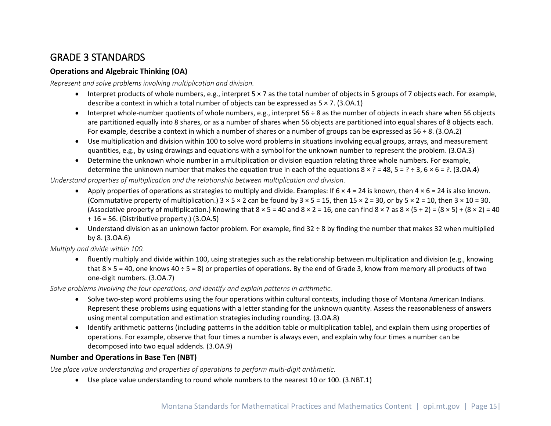# <span id="page-14-0"></span>GRADE 3 STANDARDS

#### **Operations and Algebraic Thinking (OA)**

*Represent and solve problems involving multiplication and division.*

- $\bullet$  Interpret products of whole numbers, e.g., interpret  $5 \times 7$  as the total number of objects in 5 groups of 7 objects each. For example, describe a context in which a total number of objects can be expressed as 5 × 7. (3.OA.1)
- Interpret whole-number quotients of whole numbers, e.g., interpret 56 ÷ 8 as the number of objects in each share when 56 objects are partitioned equally into 8 shares, or as a number of shares when 56 objects are partitioned into equal shares of 8 objects each. For example, describe a context in which a number of shares or a number of groups can be expressed as  $56 \div 8$ . (3.0A.2)
- Use multiplication and division within 100 to solve word problems in situations involving equal groups, arrays, and measurement quantities, e.g., by using drawings and equations with a symbol for the unknown number to represent the problem. (3.OA.3)
- Determine the unknown whole number in a multiplication or division equation relating three whole numbers. For example, determine the unknown number that makes the equation true in each of the equations  $8 \times ? = 48$ ,  $5 = ? \div 3$ ,  $6 \times 6 = ?$ . (3.0A.4)

*Understand properties of multiplication and the relationship between multiplication and division.* 

- Apply properties of operations as strategies to multiply and divide. Examples: If  $6 \times 4 = 24$  is known, then  $4 \times 6 = 24$  is also known. (Commutative property of multiplication.)  $3 \times 5 \times 2$  can be found by  $3 \times 5 = 15$ , then  $15 \times 2 = 30$ , or by  $5 \times 2 = 10$ , then  $3 \times 10 = 30$ . (Associative property of multiplication.) Knowing that  $8 \times 5 = 40$  and  $8 \times 2 = 16$ , one can find  $8 \times 7$  as  $8 \times (5 + 2) = (8 \times 5) + (8 \times 2) = 40$ + 16 = 56. (Distributive property.) (3.OA.5)
- Understand division as an unknown factor problem. For example, find 32 ÷ 8 by finding the number that makes 32 when multiplied by 8. (3.OA.6)

*Multiply and divide within 100.* 

• fluently multiply and divide within 100, using strategies such as the relationship between multiplication and division (e.g., knowing that  $8 \times 5 = 40$ , one knows  $40 \div 5 = 8$ ) or properties of operations. By the end of Grade 3, know from memory all products of two one-digit numbers. (3.OA.7)

*Solve problems involving the four operations, and identify and explain patterns in arithmetic.* 

- Solve two-step word problems using the four operations within cultural contexts, including those of Montana American Indians. Represent these problems using equations with a letter standing for the unknown quantity. Assess the reasonableness of answers using mental computation and estimation strategies including rounding. (3.OA.8)
- Identify arithmetic patterns (including patterns in the addition table or multiplication table), and explain them using properties of operations. For example, observe that four times a number is always even, and explain why four times a number can be decomposed into two equal addends. (3.OA.9)

#### **Number and Operations in Base Ten (NBT)**

*Use place value understanding and properties of operations to perform multi-digit arithmetic.* 

• Use place value understanding to round whole numbers to the nearest 10 or 100. (3.NBT.1)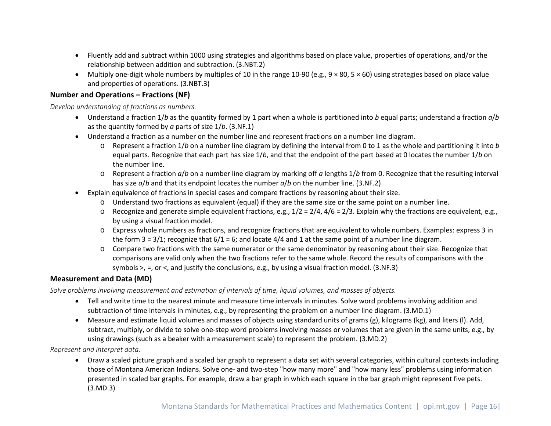- Fluently add and subtract within 1000 using strategies and algorithms based on place value, properties of operations, and/or the relationship between addition and subtraction. (3.NBT.2)
- Multiply one-digit whole numbers by multiples of 10 in the range 10-90 (e.g.,  $9 \times 80$ ,  $5 \times 60$ ) using strategies based on place value and properties of operations. (3.NBT.3)

#### **Number and Operations – Fractions (NF)**

*Develop understanding of fractions as numbers.*

- Understand a fraction 1/*b* as the quantity formed by 1 part when a whole is partitioned into *b* equal parts; understand a fraction *a*/*b* as the quantity formed by *a* parts of size 1/*b*. (3.NF.1)
- Understand a fraction as a number on the number line and represent fractions on a number line diagram.
	- o Represent a fraction 1/*b* on a number line diagram by defining the interval from 0 to 1 as the whole and partitioning it into *b*  equal parts. Recognize that each part has size 1/*b*, and that the endpoint of the part based at 0 locates the number 1/*b* on the number line.
	- o Represent a fraction *a*/*b* on a number line diagram by marking off *a* lengths 1/*b* from 0. Recognize that the resulting interval has size *a*/*b* and that its endpoint locates the number *a*/*b* on the number line. (3.NF.2)
- Explain equivalence of fractions in special cases and compare fractions by reasoning about their size.
	- o Understand two fractions as equivalent (equal) if they are the same size or the same point on a number line.
	- $\circ$  Recognize and generate simple equivalent fractions, e.g.,  $1/2 = 2/4$ ,  $4/6 = 2/3$ . Explain why the fractions are equivalent, e.g., by using a visual fraction model.
	- o Express whole numbers as fractions, and recognize fractions that are equivalent to whole numbers. Examples: express 3 in the form  $3 = 3/1$ ; recognize that  $6/1 = 6$ ; and locate  $4/4$  and 1 at the same point of a number line diagram.
	- o Compare two fractions with the same numerator or the same denominator by reasoning about their size. Recognize that comparisons are valid only when the two fractions refer to the same whole. Record the results of comparisons with the symbols >, =, or <, and justify the conclusions, e.g., by using a visual fraction model. (3.NF.3)

#### **Measurement and Data (MD)**

*Solve problems involving measurement and estimation of intervals of time, liquid volumes, and masses of objects.*

- Tell and write time to the nearest minute and measure time intervals in minutes. Solve word problems involving addition and subtraction of time intervals in minutes, e.g., by representing the problem on a number line diagram. (3.MD.1)
- Measure and estimate liquid volumes and masses of objects using standard units of grams (g), kilograms (kg), and liters (l). Add, subtract, multiply, or divide to solve one-step word problems involving masses or volumes that are given in the same units, e.g., by using drawings (such as a beaker with a measurement scale) to represent the problem. (3.MD.2)

*Represent and interpret data.*

• Draw a scaled picture graph and a scaled bar graph to represent a data set with several categories, within cultural contexts including those of Montana American Indians. Solve one- and two-step "how many more" and "how many less" problems using information presented in scaled bar graphs. For example, draw a bar graph in which each square in the bar graph might represent five pets. (3.MD.3)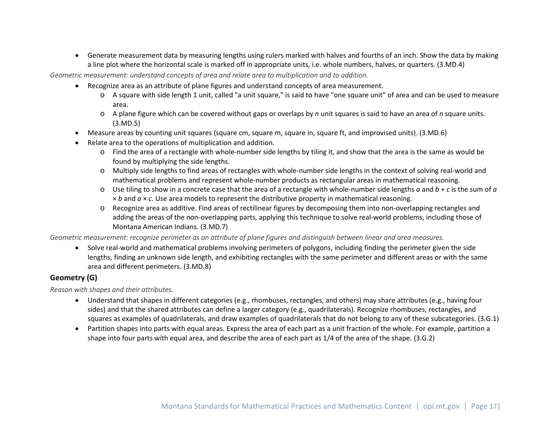• Generate measurement data by measuring lengths using rulers marked with halves and fourths of an inch. Show the data by making a line plot where the horizontal scale is marked off in appropriate units, i.e. whole numbers, halves, or quarters. (3.MD.4)

*Geometric measurement: understand concepts of area and relate area to multiplication and to addition.* 

- Recognize area as an attribute of plane figures and understand concepts of area measurement.
	- o A square with side length 1 unit, called "a unit square," is said to have "one square unit" of area and can be used to measure area.
	- o A plane figure which can be covered without gaps or overlaps by *n* unit squares is said to have an area of *n* square units. (3.MD.5)
- Measure areas by counting unit squares (square cm, square m, square in, square ft, and improvised units). (3.MD.6)
- Relate area to the operations of multiplication and addition.
	- o Find the area of a rectangle with whole-number side lengths by tiling it, and show that the area is the same as would be found by multiplying the side lengths.
	- o Multiply side lengths to find areas of rectangles with whole-number side lengths in the context of solving real-world and mathematical problems and represent whole-number products as rectangular areas in mathematical reasoning.
	- o Use tiling to show in a concrete case that the area of a rectangle with whole-number side lengths *a* and *b* + *c* is the sum of *a* × *b* and *a* × *c*. Use area models to represent the distributive property in mathematical reasoning.
	- o Recognize area as additive. Find areas of rectilinear figures by decomposing them into non-overlapping rectangles and adding the areas of the non-overlapping parts, applying this technique to solve real-world problems, including those of Montana American Indians. (3.MD.7)

*Geometric measurement: recognize perimeter as an attribute of plane figures and distinguish between linear and area measures.* 

• Solve real-world and mathematical problems involving perimeters of polygons, including finding the perimeter given the side lengths, finding an unknown side length, and exhibiting rectangles with the same perimeter and different areas or with the same area and different perimeters. (3.MD.8)

#### **Geometry (G)**

*Reason with shapes and their attributes.* 

- Understand that shapes in different categories (e.g., rhombuses, rectangles, and others) may share attributes (e.g., having four sides) and that the shared attributes can define a larger category (e.g., quadrilaterals). Recognize rhombuses, rectangles, and squares as examples of quadrilaterals, and draw examples of quadrilaterals that do not belong to any of these subcategories. (3.G.1)
- Partition shapes into parts with equal areas. Express the area of each part as a unit fraction of the whole. For example, partition a shape into four parts with equal area, and describe the area of each part as 1/4 of the area of the shape. (3.G.2)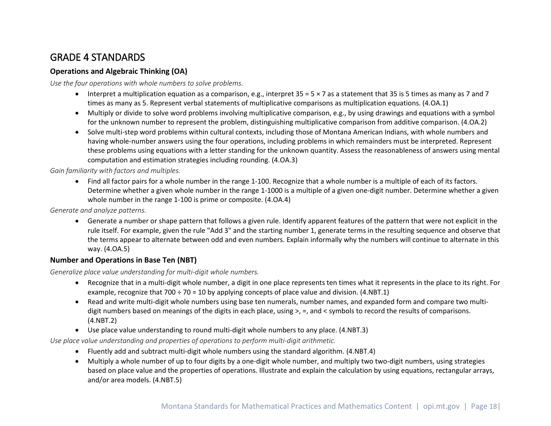# <span id="page-17-0"></span>GRADE 4 STANDARDS

#### **Operations and Algebraic Thinking (OA)**

*Use the four operations with whole numbers to solve problems.* 

- Interpret a multiplication equation as a comparison, e.g., interpret  $35 = 5 \times 7$  as a statement that 35 is 5 times as many as 7 and 7 times as many as 5. Represent verbal statements of multiplicative comparisons as multiplication equations. (4.OA.1)
- Multiply or divide to solve word problems involving multiplicative comparison, e.g., by using drawings and equations with a symbol for the unknown number to represent the problem, distinguishing multiplicative comparison from additive comparison. (4.OA.2)
- Solve multi-step word problems within cultural contexts, including those of Montana American Indians, with whole numbers and having whole-number answers using the four operations, including problems in which remainders must be interpreted. Represent these problems using equations with a letter standing for the unknown quantity. Assess the reasonableness of answers using mental computation and estimation strategies including rounding. (4.OA.3)

*Gain familiarity with factors and multiples.* 

• Find all factor pairs for a whole number in the range 1-100. Recognize that a whole number is a multiple of each of its factors. Determine whether a given whole number in the range 1-1000 is a multiple of a given one-digit number. Determine whether a given whole number in the range 1-100 is prime or composite. (4.OA.4)

*Generate and analyze patterns.* 

• Generate a number or shape pattern that follows a given rule. Identify apparent features of the pattern that were not explicit in the rule itself. For example, given the rule "Add 3" and the starting number 1, generate terms in the resulting sequence and observe that the terms appear to alternate between odd and even numbers. Explain informally why the numbers will continue to alternate in this way. (4.OA.5)

#### **Number and Operations in Base Ten (NBT)**

*Generalize place value understanding for multi-digit whole numbers.* 

- Recognize that in a multi-digit whole number, a digit in one place represents ten times what it represents in the place to its right. For example, recognize that 700 ÷ 70 = 10 by applying concepts of place value and division. (4.NBT.1)
- Read and write multi-digit whole numbers using base ten numerals, number names, and expanded form and compare two multidigit numbers based on meanings of the digits in each place, using  $>$ , =, and < symbols to record the results of comparisons. (4.NBT.2)
- Use place value understanding to round multi-digit whole numbers to any place. (4.NBT.3)

*Use place value understanding and properties of operations to perform multi-digit arithmetic.* 

- Fluently add and subtract multi-digit whole numbers using the standard algorithm. (4.NBT.4)
- Multiply a whole number of up to four digits by a one-digit whole number, and multiply two two-digit numbers, using strategies based on place value and the properties of operations. Illustrate and explain the calculation by using equations, rectangular arrays, and/or area models. (4.NBT.5)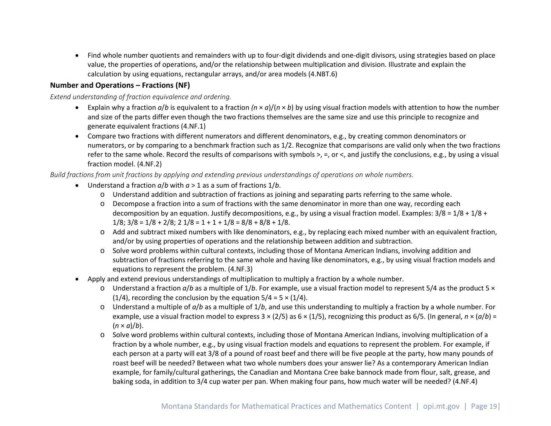• Find whole number quotients and remainders with up to four-digit dividends and one-digit divisors, using strategies based on place value, the properties of operations, and/or the relationship between multiplication and division. Illustrate and explain the calculation by using equations, rectangular arrays, and/or area models (4.NBT.6)

#### **Number and Operations – Fractions (NF)**

*Extend understanding of fraction equivalence and ordering.*

- Explain why a fraction  $a/b$  is equivalent to a fraction  $(n \times a)/(n \times b)$  by using visual fraction models with attention to how the number and size of the parts differ even though the two fractions themselves are the same size and use this principle to recognize and generate equivalent fractions (4.NF.1)
- Compare two fractions with different numerators and different denominators, e.g., by creating common denominators or numerators, or by comparing to a benchmark fraction such as 1/2. Recognize that comparisons are valid only when the two fractions refer to the same whole. Record the results of comparisons with symbols >, =, or <, and justify the conclusions, e.g., by using a visual fraction model. (4.NF.2)

*Build fractions from unit fractions by applying and extending previous understandings of operations on whole numbers.*

- Understand a fraction *a*/*b* with *a* > 1 as a sum of fractions 1/*b*.
	- o Understand addition and subtraction of fractions as joining and separating parts referring to the same whole.
	- o Decompose a fraction into a sum of fractions with the same denominator in more than one way, recording each decomposition by an equation. Justify decompositions, e.g., by using a visual fraction model. Examples: 3/8 = 1/8 + 1/8 +  $1/8$ ;  $3/8 = 1/8 + 2/8$ ;  $2 \frac{1}{8} = 1 + 1 + \frac{1}{8} = \frac{8}{8} + \frac{8}{8} + \frac{1}{8}$ .
	- o Add and subtract mixed numbers with like denominators, e.g., by replacing each mixed number with an equivalent fraction, and/or by using properties of operations and the relationship between addition and subtraction.
	- o Solve word problems within cultural contexts, including those of Montana American Indians, involving addition and subtraction of fractions referring to the same whole and having like denominators, e.g., by using visual fraction models and equations to represent the problem. (4.NF.3)
- Apply and extend previous understandings of multiplication to multiply a fraction by a whole number.
	- o Understand a fraction *a*/*b* as a multiple of 1/*b*. For example, use a visual fraction model to represent 5/4 as the product 5 × (1/4), recording the conclusion by the equation  $5/4 = 5 \times (1/4)$ .
	- o Understand a multiple of *a*/*b* as a multiple of 1/*b*, and use this understanding to multiply a fraction by a whole number. For example, use a visual fraction model to express  $3 \times (2/5)$  as  $6 \times (1/5)$ , recognizing this product as 6/5. (In general,  $n \times (a/b) =$  $(n \times a)/b$ ).
	- o Solve word problems within cultural contexts, including those of Montana American Indians, involving multiplication of a fraction by a whole number, e.g., by using visual fraction models and equations to represent the problem. For example, if each person at a party will eat 3/8 of a pound of roast beef and there will be five people at the party, how many pounds of roast beef will be needed? Between what two whole numbers does your answer lie? As a contemporary American Indian example, for family/cultural gatherings, the Canadian and Montana Cree bake bannock made from flour, salt, grease, and baking soda, in addition to 3/4 cup water per pan. When making four pans, how much water will be needed? (4.NF.4)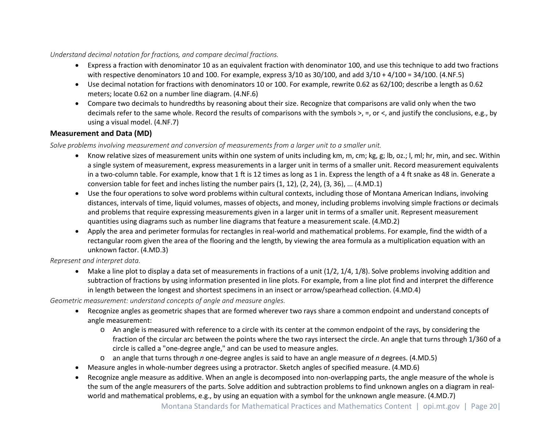*Understand decimal notation for fractions, and compare decimal fractions.*

- Express a fraction with denominator 10 as an equivalent fraction with denominator 100, and use this technique to add two fractions with respective denominators 10 and 100. For example, express 3/10 as 30/100, and add 3/10 + 4/100 = 34/100. (4.NF.5)
- Use decimal notation for fractions with denominators 10 or 100. For example, rewrite 0.62 as 62/100; describe a length as 0.62 meters; locate 0.62 on a number line diagram. (4.NF.6)
- Compare two decimals to hundredths by reasoning about their size. Recognize that comparisons are valid only when the two decimals refer to the same whole. Record the results of comparisons with the symbols >, =, or <, and justify the conclusions, e.g., by using a visual model. (4.NF.7)

#### **Measurement and Data (MD)**

*Solve problems involving measurement and conversion of measurements from a larger unit to a smaller unit.*

- Know relative sizes of measurement units within one system of units including km, m, cm; kg, g; lb, oz.; l, ml; hr, min, and sec. Within a single system of measurement, express measurements in a larger unit in terms of a smaller unit. Record measurement equivalents in a two-column table. For example, know that 1 ft is 12 times as long as 1 in. Express the length of a 4 ft snake as 48 in. Generate a conversion table for feet and inches listing the number pairs (1, 12), (2, 24), (3, 36), ... (4.MD.1)
- Use the four operations to solve word problems within cultural contexts, including those of Montana American Indians, involving distances, intervals of time, liquid volumes, masses of objects, and money, including problems involving simple fractions or decimals and problems that require expressing measurements given in a larger unit in terms of a smaller unit. Represent measurement quantities using diagrams such as number line diagrams that feature a measurement scale. (4.MD.2)
- Apply the area and perimeter formulas for rectangles in real-world and mathematical problems. For example, find the width of a rectangular room given the area of the flooring and the length, by viewing the area formula as a multiplication equation with an unknown factor. (4.MD.3)

*Represent and interpret data.*

• Make a line plot to display a data set of measurements in fractions of a unit (1/2, 1/4, 1/8). Solve problems involving addition and subtraction of fractions by using information presented in line plots. For example, from a line plot find and interpret the difference in length between the longest and shortest specimens in an insect or arrow/spearhead collection. (4.MD.4)

*Geometric measurement: understand concepts of angle and measure angles.*

- Recognize angles as geometric shapes that are formed wherever two rays share a common endpoint and understand concepts of angle measurement:
	- o An angle is measured with reference to a circle with its center at the common endpoint of the rays, by considering the fraction of the circular arc between the points where the two rays intersect the circle. An angle that turns through 1/360 of a circle is called a "one-degree angle," and can be used to measure angles.
	- o an angle that turns through *n* one-degree angles is said to have an angle measure of *n* degrees. (4.MD.5)
- Measure angles in whole-number degrees using a protractor. Sketch angles of specified measure. (4.MD.6)
- Recognize angle measure as additive. When an angle is decomposed into non-overlapping parts, the angle measure of the whole is the sum of the angle measurers of the parts. Solve addition and subtraction problems to find unknown angles on a diagram in realworld and mathematical problems, e.g., by using an equation with a symbol for the unknown angle measure. (4.MD.7)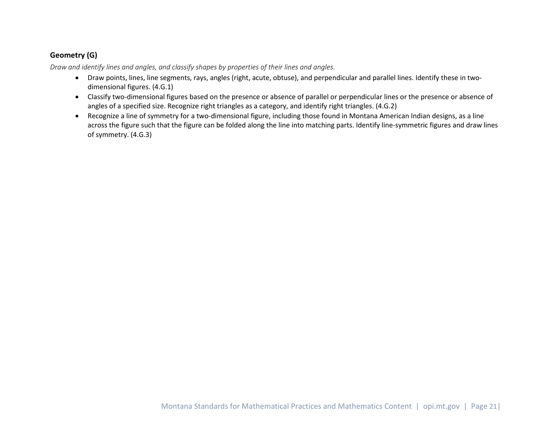## **Geometry (G)**

*Draw and identify lines and angles, and classify shapes by properties of their lines and angles.* 

- Draw points, lines, line segments, rays, angles (right, acute, obtuse), and perpendicular and parallel lines. Identify these in twodimensional figures. (4.G.1)
- Classify two-dimensional figures based on the presence or absence of parallel or perpendicular lines or the presence or absence of angles of a specified size. Recognize right triangles as a category, and identify right triangles. (4.G.2)
- Recognize a line of symmetry for a two-dimensional figure, including those found in Montana American Indian designs, as a line across the figure such that the figure can be folded along the line into matching parts. Identify line-symmetric figures and draw lines of symmetry. (4.G.3)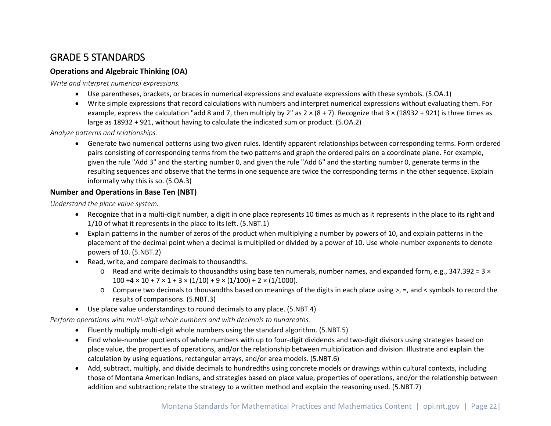# <span id="page-21-0"></span>GRADE 5 STANDARDS

#### **Operations and Algebraic Thinking (OA)**

*Write and interpret numerical expressions.* 

- Use parentheses, brackets, or braces in numerical expressions and evaluate expressions with these symbols. (5.OA.1)
- Write simple expressions that record calculations with numbers and interpret numerical expressions without evaluating them. For example, express the calculation "add 8 and 7, then multiply by 2" as  $2 \times (8 + 7)$ . Recognize that  $3 \times (18932 + 921)$  is three times as large as 18932 + 921, without having to calculate the indicated sum or product. (5.OA.2)

*Analyze patterns and relationships.* 

• Generate two numerical patterns using two given rules. Identify apparent relationships between corresponding terms. Form ordered pairs consisting of corresponding terms from the two patterns and graph the ordered pairs on a coordinate plane. For example, given the rule "Add 3" and the starting number 0, and given the rule "Add 6" and the starting number 0, generate terms in the resulting sequences and observe that the terms in one sequence are twice the corresponding terms in the other sequence. Explain informally why this is so. (5.OA.3)

#### **Number and Operations in Base Ten (NBT)**

*Understand the place value system.* 

- Recognize that in a multi-digit number, a digit in one place represents 10 times as much as it represents in the place to its right and 1/10 of what it represents in the place to its left. (5.NBT.1)
- Explain patterns in the number of zeros of the product when multiplying a number by powers of 10, and explain patterns in the placement of the decimal point when a decimal is multiplied or divided by a power of 10. Use whole-number exponents to denote powers of 10. (5.NBT.2)
- Read, write, and compare decimals to thousandths.
	- o Read and write decimals to thousandths using base ten numerals, number names, and expanded form, e.g., 347.392 =  $3 \times$  $100 + 4 \times 10 + 7 \times 1 + 3 \times (1/10) + 9 \times (1/100) + 2 \times (1/1000)$ .
	- o Compare two decimals to thousandths based on meanings of the digits in each place using >, =, and < symbols to record the results of comparisons. (5.NBT.3)
- Use place value understandings to round decimals to any place. (5.NBT.4)

*Perform operations with multi-digit whole numbers and with decimals to hundredths.* 

- Fluently multiply multi-digit whole numbers using the standard algorithm. (5.NBT.5)
- Find whole-number quotients of whole numbers with up to four-digit dividends and two-digit divisors using strategies based on place value, the properties of operations, and/or the relationship between multiplication and division. Illustrate and explain the calculation by using equations, rectangular arrays, and/or area models. (5.NBT.6)
- Add, subtract, multiply, and divide decimals to hundredths using concrete models or drawings within cultural contexts, including those of Montana American Indians, and strategies based on place value, properties of operations, and/or the relationship between addition and subtraction; relate the strategy to a written method and explain the reasoning used. (5.NBT.7)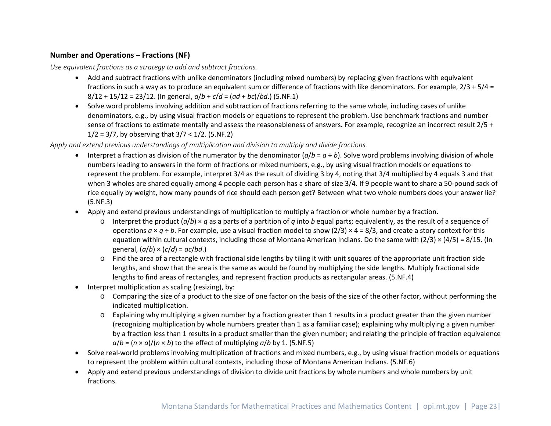#### **Number and Operations – Fractions (NF)**

*Use equivalent fractions as a strategy to add and subtract fractions.*

- Add and subtract fractions with unlike denominators (including mixed numbers) by replacing given fractions with equivalent fractions in such a way as to produce an equivalent sum or difference of fractions with like denominators. For example, 2/3 + 5/4 = 8/12 + 15/12 = 23/12. (In general, *a*/*b* + *c*/*d* = (*ad* + *bc*)/*bd*.) (5.NF.1)
- Solve word problems involving addition and subtraction of fractions referring to the same whole, including cases of unlike denominators, e.g., by using visual fraction models or equations to represent the problem. Use benchmark fractions and number sense of fractions to estimate mentally and assess the reasonableness of answers. For example, recognize an incorrect result 2/5 +  $1/2 = 3/7$ , by observing that  $3/7 < 1/2$ . (5.NF.2)

#### *Apply and extend previous understandings of multiplication and division to multiply and divide fractions.*

- Interpret a fraction as division of the numerator by the denominator  $(a/b = a \div b)$ . Solve word problems involving division of whole numbers leading to answers in the form of fractions or mixed numbers, e.g., by using visual fraction models or equations to represent the problem. For example, interpret 3/4 as the result of dividing 3 by 4, noting that 3/4 multiplied by 4 equals 3 and that when 3 wholes are shared equally among 4 people each person has a share of size 3/4. If 9 people want to share a 50-pound sack of rice equally by weight, how many pounds of rice should each person get? Between what two whole numbers does your answer lie? (5.NF.3)
- Apply and extend previous understandings of multiplication to multiply a fraction or whole number by a fraction.
	- o Interpret the product  $(a/b) \times q$  as a parts of a partition of *q* into *b* equal parts; equivalently, as the result of a sequence of operations  $a \times q \div b$ . For example, use a visual fraction model to show (2/3)  $\times$  4 = 8/3, and create a story context for this equation within cultural contexts, including those of Montana American Indians. Do the same with  $(2/3) \times (4/5) = 8/15$ . (In general, (*a*/*b*) × (*c*/*d*) = *ac*/*bd*.)
	- $\circ$  Find the area of a rectangle with fractional side lengths by tiling it with unit squares of the appropriate unit fraction side lengths, and show that the area is the same as would be found by multiplying the side lengths. Multiply fractional side lengths to find areas of rectangles, and represent fraction products as rectangular areas. (5.NF.4)
- Interpret multiplication as scaling (resizing), by:
	- o Comparing the size of a product to the size of one factor on the basis of the size of the other factor, without performing the indicated multiplication.
	- o Explaining why multiplying a given number by a fraction greater than 1 results in a product greater than the given number (recognizing multiplication by whole numbers greater than 1 as a familiar case); explaining why multiplying a given number by a fraction less than 1 results in a product smaller than the given number; and relating the principle of fraction equivalence  $a/b = (n \times a)/(n \times b)$  to the effect of multiplying  $a/b$  by 1. (5.NF.5)
- Solve real-world problems involving multiplication of fractions and mixed numbers, e.g., by using visual fraction models or equations to represent the problem within cultural contexts, including those of Montana American Indians. (5.NF.6)
- Apply and extend previous understandings of division to divide unit fractions by whole numbers and whole numbers by unit fractions.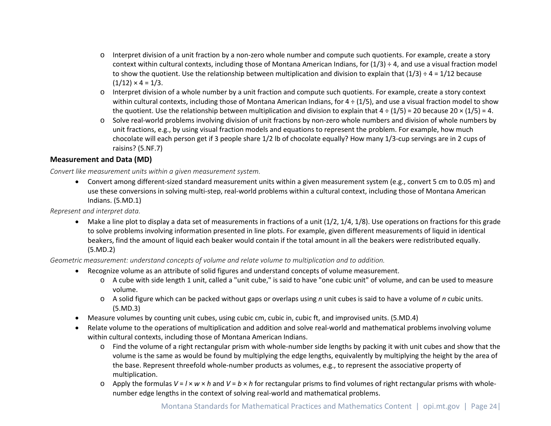- o Interpret division of a unit fraction by a non-zero whole number and compute such quotients. For example, create a story context within cultural contexts, including those of Montana American Indians, for  $(1/3) \div 4$ , and use a visual fraction model to show the quotient. Use the relationship between multiplication and division to explain that  $(1/3) \div 4 = 1/12$  because  $(1/12) \times 4 = 1/3$ .
- o Interpret division of a whole number by a unit fraction and compute such quotients. For example, create a story context within cultural contexts, including those of Montana American Indians, for  $4 \div (1/5)$ , and use a visual fraction model to show the quotient. Use the relationship between multiplication and division to explain that  $4 \div (1/5) = 20$  because  $20 \times (1/5) = 4$ .
- o Solve real-world problems involving division of unit fractions by non-zero whole numbers and division of whole numbers by unit fractions, e.g., by using visual fraction models and equations to represent the problem. For example, how much chocolate will each person get if 3 people share 1/2 lb of chocolate equally? How many 1/3-cup servings are in 2 cups of raisins? (5.NF.7)

#### **Measurement and Data (MD)**

*Convert like measurement units within a given measurement system.*

• Convert among different-sized standard measurement units within a given measurement system (e.g., convert 5 cm to 0.05 m) and use these conversions in solving multi-step, real-world problems within a cultural context, including those of Montana American Indians. (5.MD.1)

*Represent and interpret data.*

• Make a line plot to display a data set of measurements in fractions of a unit  $(1/2, 1/4, 1/8)$ . Use operations on fractions for this grade to solve problems involving information presented in line plots. For example, given different measurements of liquid in identical beakers, find the amount of liquid each beaker would contain if the total amount in all the beakers were redistributed equally. (5.MD.2)

*Geometric measurement: understand concepts of volume and relate volume to multiplication and to addition.*

- Recognize volume as an attribute of solid figures and understand concepts of volume measurement.
	- o A cube with side length 1 unit, called a "unit cube," is said to have "one cubic unit" of volume, and can be used to measure volume.
	- o A solid figure which can be packed without gaps or overlaps using *n* unit cubes is said to have a volume of *n* cubic units. (5.MD.3)
- Measure volumes by counting unit cubes, using cubic cm, cubic in, cubic ft, and improvised units. (5.MD.4)
- Relate volume to the operations of multiplication and addition and solve real-world and mathematical problems involving volume within cultural contexts, including those of Montana American Indians.
	- o Find the volume of a right rectangular prism with whole-number side lengths by packing it with unit cubes and show that the volume is the same as would be found by multiplying the edge lengths, equivalently by multiplying the height by the area of the base. Represent threefold whole-number products as volumes, e.g., to represent the associative property of multiplication.
	- o Apply the formulas *V* = *l* × *w* × *h* and *V* = *b* × *h* for rectangular prisms to find volumes of right rectangular prisms with wholenumber edge lengths in the context of solving real-world and mathematical problems.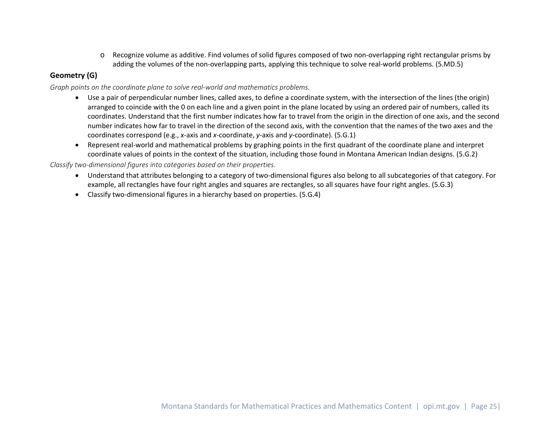o Recognize volume as additive. Find volumes of solid figures composed of two non-overlapping right rectangular prisms by adding the volumes of the non-overlapping parts, applying this technique to solve real-world problems. (5.MD.5)

#### **Geometry (G)**

*Graph points on the coordinate plane to solve real-world and mathematics problems.* 

- Use a pair of perpendicular number lines, called axes, to define a coordinate system, with the intersection of the lines (the origin) arranged to coincide with the 0 on each line and a given point in the plane located by using an ordered pair of numbers, called its coordinates. Understand that the first number indicates how far to travel from the origin in the direction of one axis, and the second number indicates how far to travel in the direction of the second axis, with the convention that the names of the two axes and the coordinates correspond (e.g., *x*-axis and *x*-coordinate, *y*-axis and *y*-coordinate). (5.G.1)
- Represent real-world and mathematical problems by graphing points in the first quadrant of the coordinate plane and interpret coordinate values of points in the context of the situation, including those found in Montana American Indian designs. (5.G.2)

*Classify two-dimensional figures into categories based on their properties.* 

- Understand that attributes belonging to a category of two-dimensional figures also belong to all subcategories of that category. For example, all rectangles have four right angles and squares are rectangles, so all squares have four right angles. (5.G.3)
- Classify two-dimensional figures in a hierarchy based on properties. (5.G.4)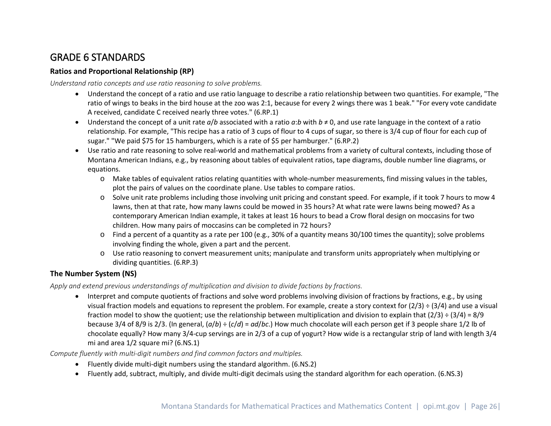# <span id="page-25-0"></span>GRADE 6 STANDARDS

#### **Ratios and Proportional Relationship (RP)**

*Understand ratio concepts and use ratio reasoning to solve problems.* 

- Understand the concept of a ratio and use ratio language to describe a ratio relationship between two quantities. For example, "The ratio of wings to beaks in the bird house at the zoo was 2:1, because for every 2 wings there was 1 beak." "For every vote candidate A received, candidate C received nearly three votes." (6.RP.1)
- Understand the concept of a unit rate *a*/*b* associated with a ratio *a*:*b* with *b* ≠ 0, and use rate language in the context of a ratio relationship. For example, "This recipe has a ratio of 3 cups of flour to 4 cups of sugar, so there is 3/4 cup of flour for each cup of sugar." "We paid \$75 for 15 hamburgers, which is a rate of \$5 per hamburger." (6.RP.2)
- Use ratio and rate reasoning to solve real-world and mathematical problems from a variety of cultural contexts, including those of Montana American Indians, e.g., by reasoning about tables of equivalent ratios, tape diagrams, double number line diagrams, or equations.
	- o Make tables of equivalent ratios relating quantities with whole-number measurements, find missing values in the tables, plot the pairs of values on the coordinate plane. Use tables to compare ratios.
	- o Solve unit rate problems including those involving unit pricing and constant speed. For example, if it took 7 hours to mow 4 lawns, then at that rate, how many lawns could be mowed in 35 hours? At what rate were lawns being mowed? As a contemporary American Indian example, it takes at least 16 hours to bead a Crow floral design on moccasins for two children. How many pairs of moccasins can be completed in 72 hours?
	- o Find a percent of a quantity as a rate per 100 (e.g., 30% of a quantity means 30/100 times the quantity); solve problems involving finding the whole, given a part and the percent.
	- o Use ratio reasoning to convert measurement units; manipulate and transform units appropriately when multiplying or dividing quantities. (6.RP.3)

#### **The Number System (NS)**

*Apply and extend previous understandings of multiplication and division to divide factions by fractions.* 

• Interpret and compute quotients of fractions and solve word problems involving division of fractions by fractions, e.g., by using visual fraction models and equations to represent the problem. For example, create a story context for  $(2/3) \div (3/4)$  and use a visual fraction model to show the quotient; use the relationship between multiplication and division to explain that  $(2/3) \div (3/4) = 8/9$ because 3/4 of 8/9 is 2/3. (In general, (*a*/*b*) ÷ (*c*/*d*) = *ad*/*bc*.) How much chocolate will each person get if 3 people share 1/2 lb of chocolate equally? How many 3/4-cup servings are in 2/3 of a cup of yogurt? How wide is a rectangular strip of land with length 3/4 mi and area 1/2 square mi? (6.NS.1)

*Compute fluently with multi-digit numbers and find common factors and multiples.* 

- Fluently divide multi-digit numbers using the standard algorithm. (6.NS.2)
- Fluently add, subtract, multiply, and divide multi-digit decimals using the standard algorithm for each operation. (6.NS.3)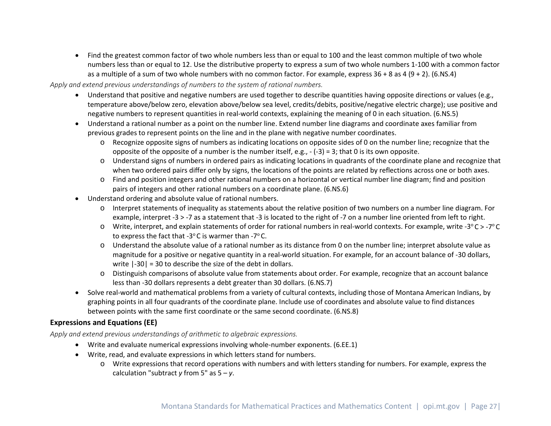• Find the greatest common factor of two whole numbers less than or equal to 100 and the least common multiple of two whole numbers less than or equal to 12. Use the distributive property to express a sum of two whole numbers 1-100 with a common factor as a multiple of a sum of two whole numbers with no common factor. For example, express 36 + 8 as 4 (9 + 2). (6.NS.4)

*Apply and extend previous understandings of numbers to the system of rational numbers.*

- Understand that positive and negative numbers are used together to describe quantities having opposite directions or values (e.g., temperature above/below zero, elevation above/below sea level, credits/debits, positive/negative electric charge); use positive and negative numbers to represent quantities in real-world contexts, explaining the meaning of 0 in each situation. (6.NS.5)
- Understand a rational number as a point on the number line. Extend number line diagrams and coordinate axes familiar from previous grades to represent points on the line and in the plane with negative number coordinates.
	- $\circ$  Recognize opposite signs of numbers as indicating locations on opposite sides of 0 on the number line; recognize that the opposite of the opposite of a number is the number itself, e.g.,  $-(-3) = 3$ ; that 0 is its own opposite.
	- o Understand signs of numbers in ordered pairs as indicating locations in quadrants of the coordinate plane and recognize that when two ordered pairs differ only by signs, the locations of the points are related by reflections across one or both axes.
	- o Find and position integers and other rational numbers on a horizontal or vertical number line diagram; find and position pairs of integers and other rational numbers on a coordinate plane. (6.NS.6)
- Understand ordering and absolute value of rational numbers.
	- o Interpret statements of inequality as statements about the relative position of two numbers on a number line diagram. For example, interpret -3 > -7 as a statement that -3 is located to the right of -7 on a number line oriented from left to right.
	- $\circ$  Write, interpret, and explain statements of order for rational numbers in real-world contexts. For example, write -3 $\degree$ C > -7 $\degree$ C to express the fact that -3 $^{\circ}$ C is warmer than -7 $^{\circ}$ C.
	- o Understand the absolute value of a rational number as its distance from 0 on the number line; interpret absolute value as magnitude for a positive or negative quantity in a real-world situation. For example, for an account balance of -30 dollars, write  $|-30| = 30$  to describe the size of the debt in dollars.
	- o Distinguish comparisons of absolute value from statements about order. For example, recognize that an account balance less than -30 dollars represents a debt greater than 30 dollars. (6.NS.7)
- Solve real-world and mathematical problems from a variety of cultural contexts, including those of Montana American Indians, by graphing points in all four quadrants of the coordinate plane. Include use of coordinates and absolute value to find distances between points with the same first coordinate or the same second coordinate. (6.NS.8)

#### **Expressions and Equations (EE)**

*Apply and extend previous understandings of arithmetic to algebraic expressions.*

- Write and evaluate numerical expressions involving whole-number exponents. (6.EE.1)
- Write, read, and evaluate expressions in which letters stand for numbers.
	- o Write expressions that record operations with numbers and with letters standing for numbers. For example, express the calculation "subtract *y* from 5" as 5 – *y*.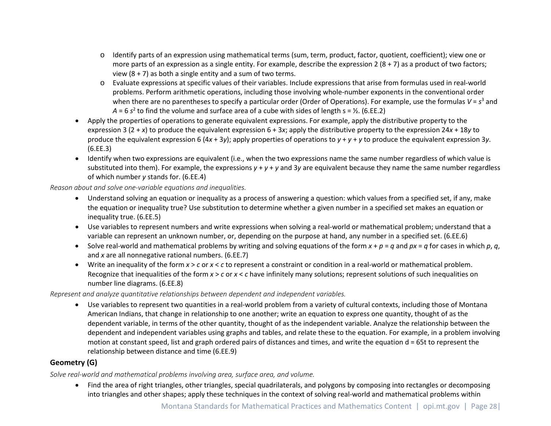- o Identify parts of an expression using mathematical terms (sum, term, product, factor, quotient, coefficient); view one or more parts of an expression as a single entity. For example, describe the expression  $2(8 + 7)$  as a product of two factors; view  $(8 + 7)$  as both a single entity and a sum of two terms.
- o Evaluate expressions at specific values of their variables. Include expressions that arise from formulas used in real-world problems. Perform arithmetic operations, including those involving whole-number exponents in the conventional order when there are no parentheses to specify a particular order (Order of Operations). For example, use the formulas *V* = *s*<sup>3</sup> and  $A = 6 s<sup>2</sup>$  to find the volume and surface area of a cube with sides of length  $s = ½$ . (6.EE.2)
- Apply the properties of operations to generate equivalent expressions. For example, apply the distributive property to the expression 3 (2 + *x*) to produce the equivalent expression 6 + 3*x*; apply the distributive property to the expression 24*x* + 18*y* to produce the equivalent expression 6 (4*x* + 3*y*); apply properties of operations to *y* + *y* + *y* to produce the equivalent expression 3*y*. (6.EE.3)
- Identify when two expressions are equivalent (i.e., when the two expressions name the same number regardless of which value is substituted into them). For example, the expressions *y* + *y* + *y* and 3*y* are equivalent because they name the same number regardless of which number *y* stands for. (6.EE.4)

*Reason about and solve one-variable equations and inequalities.*

- Understand solving an equation or inequality as a process of answering a question: which values from a specified set, if any, make the equation or inequality true? Use substitution to determine whether a given number in a specified set makes an equation or inequality true. (6.EE.5)
- Use variables to represent numbers and write expressions when solving a real-world or mathematical problem; understand that a variable can represent an unknown number, or, depending on the purpose at hand, any number in a specified set. (6.EE.6)
- Solve real-world and mathematical problems by writing and solving equations of the form  $x + p = q$  and  $px = q$  for cases in which  $p$ ,  $q$ , and *x* are all nonnegative rational numbers. (6.EE.7)
- Write an inequality of the form *x* > *c* or *x* < *c* to represent a constraint or condition in a real-world or mathematical problem. Recognize that inequalities of the form *x* > *c* or *x* < *c* have infinitely many solutions; represent solutions of such inequalities on number line diagrams. (6.EE.8)

*Represent and analyze quantitative relationships between dependent and independent variables.*

• Use variables to represent two quantities in a real-world problem from a variety of cultural contexts, including those of Montana American Indians, that change in relationship to one another; write an equation to express one quantity, thought of as the dependent variable, in terms of the other quantity, thought of as the independent variable. Analyze the relationship between the dependent and independent variables using graphs and tables, and relate these to the equation. For example, in a problem involving motion at constant speed, list and graph ordered pairs of distances and times, and write the equation d = 65t to represent the relationship between distance and time (6.EE.9)

# **Geometry (G)**

*Solve real-world and mathematical problems involving area, surface area, and volume.*

• Find the area of right triangles, other triangles, special quadrilaterals, and polygons by composing into rectangles or decomposing into triangles and other shapes; apply these techniques in the context of solving real-world and mathematical problems within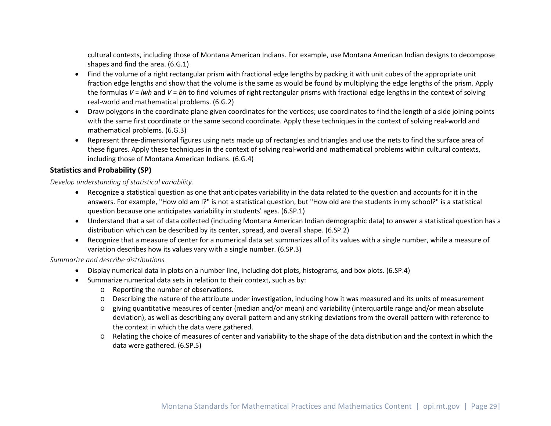cultural contexts, including those of Montana American Indians. For example, use Montana American Indian designs to decompose shapes and find the area. (6.G.1)

- Find the volume of a right rectangular prism with fractional edge lengths by packing it with unit cubes of the appropriate unit fraction edge lengths and show that the volume is the same as would be found by multiplying the edge lengths of the prism. Apply the formulas *V* = *lwh* and *V* = *bh* to find volumes of right rectangular prisms with fractional edge lengths in the context of solving real-world and mathematical problems. (6.G.2)
- Draw polygons in the coordinate plane given coordinates for the vertices; use coordinates to find the length of a side joining points with the same first coordinate or the same second coordinate. Apply these techniques in the context of solving real-world and mathematical problems. (6.G.3)
- Represent three-dimensional figures using nets made up of rectangles and triangles and use the nets to find the surface area of these figures. Apply these techniques in the context of solving real-world and mathematical problems within cultural contexts, including those of Montana American Indians. (6.G.4)

#### **Statistics and Probability (SP)**

*Develop understanding of statistical variability.* 

- Recognize a statistical question as one that anticipates variability in the data related to the question and accounts for it in the answers. For example, "How old am I?" is not a statistical question, but "How old are the students in my school?" is a statistical question because one anticipates variability in students' ages. (6.SP.1)
- Understand that a set of data collected (including Montana American Indian demographic data) to answer a statistical question has a distribution which can be described by its center, spread, and overall shape. (6.SP.2)
- Recognize that a measure of center for a numerical data set summarizes all of its values with a single number, while a measure of variation describes how its values vary with a single number. (6.SP.3)

#### *Summarize and describe distributions.*

- Display numerical data in plots on a number line, including dot plots, histograms, and box plots. (6.SP.4)
- Summarize numerical data sets in relation to their context, such as by:
	- o Reporting the number of observations.
	- o Describing the nature of the attribute under investigation, including how it was measured and its units of measurement
	- o giving quantitative measures of center (median and/or mean) and variability (interquartile range and/or mean absolute deviation), as well as describing any overall pattern and any striking deviations from the overall pattern with reference to the context in which the data were gathered.
	- o Relating the choice of measures of center and variability to the shape of the data distribution and the context in which the data were gathered. (6.SP.5)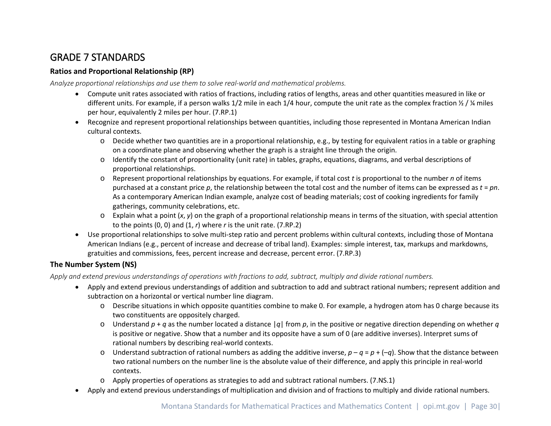# <span id="page-29-0"></span>GRADE 7 STANDARDS

#### **Ratios and Proportional Relationship (RP)**

*Analyze proportional relationships and use them to solve real-world and mathematical problems.* 

- Compute unit rates associated with ratios of fractions, including ratios of lengths, areas and other quantities measured in like or different units. For example, if a person walks 1/2 mile in each 1/4 hour, compute the unit rate as the complex fraction  $\frac{1}{2}$  /  $\frac{1}{4}$  miles per hour, equivalently 2 miles per hour. (7.RP.1)
- Recognize and represent proportional relationships between quantities, including those represented in Montana American Indian cultural contexts.
	- $\circ$  Decide whether two quantities are in a proportional relationship, e.g., by testing for equivalent ratios in a table or graphing on a coordinate plane and observing whether the graph is a straight line through the origin.
	- o Identify the constant of proportionality (unit rate) in tables, graphs, equations, diagrams, and verbal descriptions of proportional relationships.
	- o Represent proportional relationships by equations. For example, if total cost *t* is proportional to the number *n* of items purchased at a constant price *p*, the relationship between the total cost and the number of items can be expressed as *t* = *pn*. As a contemporary American Indian example, analyze cost of beading materials; cost of cooking ingredients for family gatherings, community celebrations, etc.
	- o Explain what a point (*x*, *y*) on the graph of a proportional relationship means in terms of the situation, with special attention to the points (0, 0) and (1, *r*) where *r* is the unit rate. (7.RP.2)
- Use proportional relationships to solve multi-step ratio and percent problems within cultural contexts, including those of Montana American Indians (e.g., percent of increase and decrease of tribal land). Examples: simple interest, tax, markups and markdowns, gratuities and commissions, fees, percent increase and decrease, percent error. (7.RP.3)

#### **The Number System (NS)**

*Apply and extend previous understandings of operations with fractions to add, subtract, multiply and divide rational numbers.* 

- Apply and extend previous understandings of addition and subtraction to add and subtract rational numbers; represent addition and subtraction on a horizontal or vertical number line diagram.
	- o Describe situations in which opposite quantities combine to make 0. For example, a hydrogen atom has 0 charge because its two constituents are oppositely charged.
	- o Understand *p* + *q* as the number located a distance |*q*| from *p*, in the positive or negative direction depending on whether *q* is positive or negative. Show that a number and its opposite have a sum of 0 (are additive inverses). Interpret sums of rational numbers by describing real-world contexts.
	- o Understand subtraction of rational numbers as adding the additive inverse,  $p q = p + (-q)$ . Show that the distance between two rational numbers on the number line is the absolute value of their difference, and apply this principle in real-world contexts.
	- o Apply properties of operations as strategies to add and subtract rational numbers. (7.NS.1)
- Apply and extend previous understandings of multiplication and division and of fractions to multiply and divide rational numbers.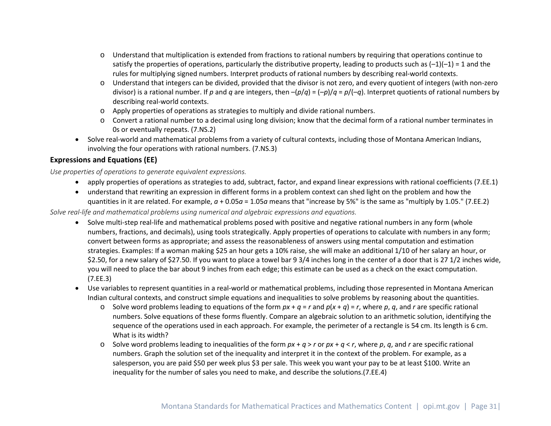- o Understand that multiplication is extended from fractions to rational numbers by requiring that operations continue to satisfy the properties of operations, particularly the distributive property, leading to products such as  $(-1)(-1) = 1$  and the rules for multiplying signed numbers. Interpret products of rational numbers by describing real-world contexts.
- o Understand that integers can be divided, provided that the divisor is not zero, and every quotient of integers (with non-zero divisor) is a rational number. If *p* and *q* are integers, then –(*p*/*q*) = (–*p*)/*q* = *p*/(–*q*). Interpret quotients of rational numbers by describing real-world contexts.
- o Apply properties of operations as strategies to multiply and divide rational numbers.
- o Convert a rational number to a decimal using long division; know that the decimal form of a rational number terminates in 0s or eventually repeats. (7.NS.2)
- Solve real-world and mathematical problems from a variety of cultural contexts, including those of Montana American Indians, involving the four operations with rational numbers. (7.NS.3)

#### **Expressions and Equations (EE)**

*Use properties of operations to generate equivalent expressions.*

- apply properties of operations as strategies to add, subtract, factor, and expand linear expressions with rational coefficients (7.EE.1)
- understand that rewriting an expression in different forms in a problem context can shed light on the problem and how the quantities in it are related. For example, *a* + 0.05*a* = 1.05*a* means that "increase by 5%" is the same as "multiply by 1.05." (7.EE.2)

*Solve real-life and mathematical problems using numerical and algebraic expressions and equations.*

- Solve multi-step real-life and mathematical problems posed with positive and negative rational numbers in any form (whole numbers, fractions, and decimals), using tools strategically. Apply properties of operations to calculate with numbers in any form; convert between forms as appropriate; and assess the reasonableness of answers using mental computation and estimation strategies. Examples: If a woman making \$25 an hour gets a 10% raise, she will make an additional 1/10 of her salary an hour, or \$2.50, for a new salary of \$27.50. If you want to place a towel bar 9 3/4 inches long in the center of a door that is 27 1/2 inches wide, you will need to place the bar about 9 inches from each edge; this estimate can be used as a check on the exact computation. (7.EE.3)
- Use variables to represent quantities in a real-world or mathematical problems, including those represented in Montana American Indian cultural contexts, and construct simple equations and inequalities to solve problems by reasoning about the quantities.
	- $\circ$  Solve word problems leading to equations of the form  $px + q = r$  and  $p(x + q) = r$ , where p, q, and r are specific rational numbers. Solve equations of these forms fluently. Compare an algebraic solution to an arithmetic solution, identifying the sequence of the operations used in each approach. For example, the perimeter of a rectangle is 54 cm. Its length is 6 cm. What is its width?
	- o Solve word problems leading to inequalities of the form *px* + *q* > *r* or *px* + *q* < *r*, where *p*, *q*, and *r* are specific rational numbers. Graph the solution set of the inequality and interpret it in the context of the problem. For example, as a salesperson, you are paid \$50 per week plus \$3 per sale. This week you want your pay to be at least \$100. Write an inequality for the number of sales you need to make, and describe the solutions.(7.EE.4)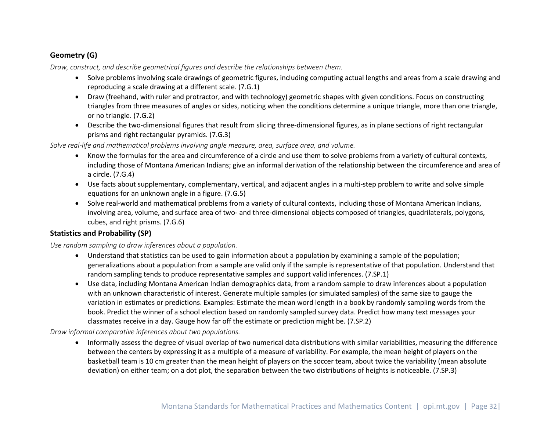## **Geometry (G)**

*Draw, construct, and describe geometrical figures and describe the relationships between them.*

- Solve problems involving scale drawings of geometric figures, including computing actual lengths and areas from a scale drawing and reproducing a scale drawing at a different scale. (7.G.1)
- Draw (freehand, with ruler and protractor, and with technology) geometric shapes with given conditions. Focus on constructing triangles from three measures of angles or sides, noticing when the conditions determine a unique triangle, more than one triangle, or no triangle. (7.G.2)
- Describe the two-dimensional figures that result from slicing three-dimensional figures, as in plane sections of right rectangular prisms and right rectangular pyramids. (7.G.3)

*Solve real-life and mathematical problems involving angle measure, area, surface area, and volume.*

- Know the formulas for the area and circumference of a circle and use them to solve problems from a variety of cultural contexts, including those of Montana American Indians; give an informal derivation of the relationship between the circumference and area of a circle. (7.G.4)
- Use facts about supplementary, complementary, vertical, and adjacent angles in a multi-step problem to write and solve simple equations for an unknown angle in a figure. (7.G.5)
- Solve real-world and mathematical problems from a variety of cultural contexts, including those of Montana American Indians, involving area, volume, and surface area of two- and three-dimensional objects composed of triangles, quadrilaterals, polygons, cubes, and right prisms. (7.G.6)

## **Statistics and Probability (SP)**

*Use random sampling to draw inferences about a population.*

- Understand that statistics can be used to gain information about a population by examining a sample of the population; generalizations about a population from a sample are valid only if the sample is representative of that population. Understand that random sampling tends to produce representative samples and support valid inferences. (7.SP.1)
- Use data, including Montana American Indian demographics data, from a random sample to draw inferences about a population with an unknown characteristic of interest. Generate multiple samples (or simulated samples) of the same size to gauge the variation in estimates or predictions. Examples: Estimate the mean word length in a book by randomly sampling words from the book. Predict the winner of a school election based on randomly sampled survey data. Predict how many text messages your classmates receive in a day. Gauge how far off the estimate or prediction might be. (7.SP.2)

*Draw informal comparative inferences about two populations.*

• Informally assess the degree of visual overlap of two numerical data distributions with similar variabilities, measuring the difference between the centers by expressing it as a multiple of a measure of variability. For example, the mean height of players on the basketball team is 10 cm greater than the mean height of players on the soccer team, about twice the variability (mean absolute deviation) on either team; on a dot plot, the separation between the two distributions of heights is noticeable. (7.SP.3)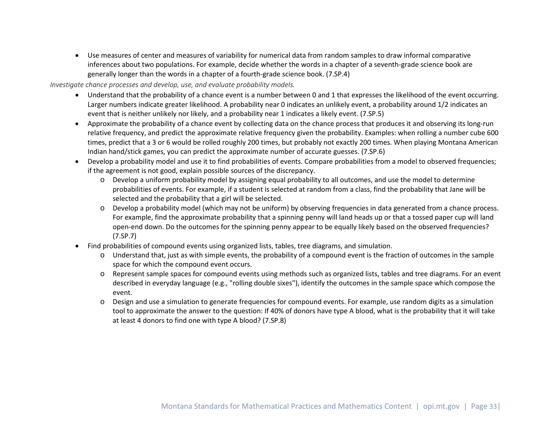• Use measures of center and measures of variability for numerical data from random samples to draw informal comparative inferences about two populations. For example, decide whether the words in a chapter of a seventh-grade science book are generally longer than the words in a chapter of a fourth-grade science book. (7.SP.4)

*Investigate chance processes and develop, use, and evaluate probability models.* 

- Understand that the probability of a chance event is a number between 0 and 1 that expresses the likelihood of the event occurring. Larger numbers indicate greater likelihood. A probability near 0 indicates an unlikely event, a probability around 1/2 indicates an event that is neither unlikely nor likely, and a probability near 1 indicates a likely event. (7.SP.5)
- Approximate the probability of a chance event by collecting data on the chance process that produces it and observing its long-run relative frequency, and predict the approximate relative frequency given the probability. Examples: when rolling a number cube 600 times, predict that a 3 or 6 would be rolled roughly 200 times, but probably not exactly 200 times. When playing Montana American Indian hand/stick games, you can predict the approximate number of accurate guesses. (7.SP.6)
- Develop a probability model and use it to find probabilities of events. Compare probabilities from a model to observed frequencies; if the agreement is not good, explain possible sources of the discrepancy.
	- o Develop a uniform probability model by assigning equal probability to all outcomes, and use the model to determine probabilities of events. For example, if a student is selected at random from a class, find the probability that Jane will be selected and the probability that a girl will be selected.
	- o Develop a probability model (which may not be uniform) by observing frequencies in data generated from a chance process. For example, find the approximate probability that a spinning penny will land heads up or that a tossed paper cup will land open-end down. Do the outcomes for the spinning penny appear to be equally likely based on the observed frequencies? (7.SP.7)
- Find probabilities of compound events using organized lists, tables, tree diagrams, and simulation.
	- o Understand that, just as with simple events, the probability of a compound event is the fraction of outcomes in the sample space for which the compound event occurs.
	- o Represent sample spaces for compound events using methods such as organized lists, tables and tree diagrams. For an event described in everyday language (e.g., "rolling double sixes"), identify the outcomes in the sample space which compose the event.
	- o Design and use a simulation to generate frequencies for compound events. For example, use random digits as a simulation tool to approximate the answer to the question: If 40% of donors have type A blood, what is the probability that it will take at least 4 donors to find one with type A blood? (7.SP.8)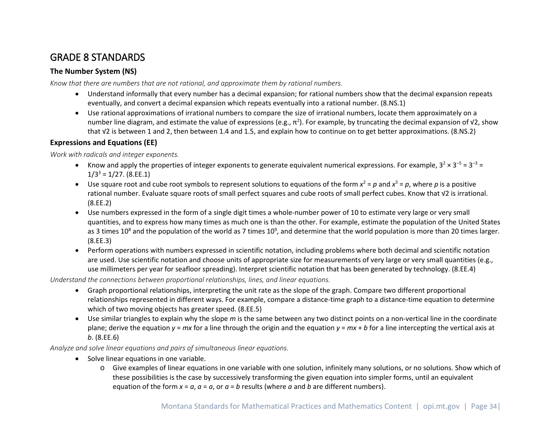# <span id="page-33-0"></span>GRADE 8 STANDARDS

#### **The Number System (NS)**

*Know that there are numbers that are not rational, and approximate them by rational numbers.* 

- Understand informally that every number has a decimal expansion; for rational numbers show that the decimal expansion repeats eventually, and convert a decimal expansion which repeats eventually into a rational number. (8.NS.1)
- Use rational approximations of irrational numbers to compare the size of irrational numbers, locate them approximately on a number line diagram, and estimate the value of expressions (e.g.,  $\pi^2$ ). For example, by truncating the decimal expansion of √2, show that √2 is between 1 and 2, then between 1.4 and 1.5, and explain how to continue on to get better approximations. (8.NS.2)

#### **Expressions and Equations (EE)**

*Work with radicals and integer exponents.* 

- Know and apply the properties of integer exponents to generate equivalent numerical expressions. For example,  $3^2 \times 3^{-5} = 3^{-3} = 1$  $1/3^3 = 1/27.$  (8.EE.1)
- Use square root and cube root symbols to represent solutions to equations of the form  $x^2 = p$  and  $x^3 = p$ , where p is a positive rational number. Evaluate square roots of small perfect squares and cube roots of small perfect cubes. Know that √2 is irrational. (8.EE.2)
- Use numbers expressed in the form of a single digit times a whole-number power of 10 to estimate very large or very small quantities, and to express how many times as much one is than the other. For example, estimate the population of the United States as 3 times 10<sup>8</sup> and the population of the world as 7 times 10<sup>9</sup>, and determine that the world population is more than 20 times larger. (8.EE.3)
- Perform operations with numbers expressed in scientific notation, including problems where both decimal and scientific notation are used. Use scientific notation and choose units of appropriate size for measurements of very large or very small quantities (e.g., use millimeters per year for seafloor spreading). Interpret scientific notation that has been generated by technology. (8.EE.4)

*Understand the connections between proportional relationships, lines, and linear equations.*

- Graph proportional relationships, interpreting the unit rate as the slope of the graph. Compare two different proportional relationships represented in different ways. For example, compare a distance-time graph to a distance-time equation to determine which of two moving objects has greater speed. (8.EE.5)
- Use similar triangles to explain why the slope *m* is the same between any two distinct points on a non-vertical line in the coordinate plane; derive the equation  $y = mx$  for a line through the origin and the equation  $y = mx + b$  for a line intercepting the vertical axis at *b*. (8.EE.6)

*Analyze and solve linear equations and pairs of simultaneous linear equations.* 

- Solve linear equations in one variable.
	- o Give examples of linear equations in one variable with one solution, infinitely many solutions, or no solutions. Show which of these possibilities is the case by successively transforming the given equation into simpler forms, until an equivalent equation of the form  $x = a$ ,  $a = a$ , or  $a = b$  results (where  $a$  and  $b$  are different numbers).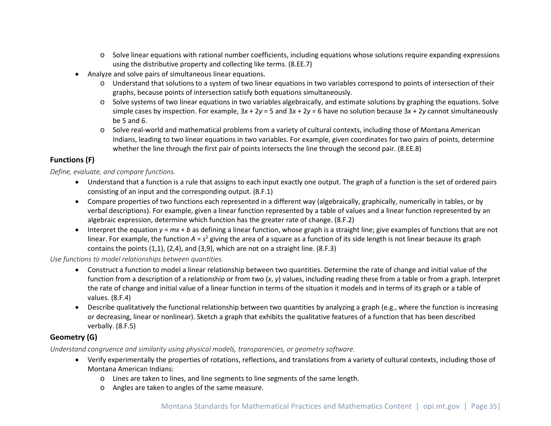- o Solve linear equations with rational number coefficients, including equations whose solutions require expanding expressions using the distributive property and collecting like terms. (8.EE.7)
- Analyze and solve pairs of simultaneous linear equations.
	- o Understand that solutions to a system of two linear equations in two variables correspond to points of intersection of their graphs, because points of intersection satisfy both equations simultaneously.
	- o Solve systems of two linear equations in two variables algebraically, and estimate solutions by graphing the equations. Solve simple cases by inspection. For example, 3*x* + 2*y* = 5 and 3*x* + 2*y* = 6 have no solution because 3*x* + 2*y* cannot simultaneously be 5 and 6.
	- o Solve real-world and mathematical problems from a variety of cultural contexts, including those of Montana American Indians, leading to two linear equations in two variables. For example, given coordinates for two pairs of points, determine whether the line through the first pair of points intersects the line through the second pair. (8.EE.8)

#### **Functions (F)**

*Define, evaluate, and compare functions.*

- Understand that a function is a rule that assigns to each input exactly one output. The graph of a function is the set of ordered pairs consisting of an input and the corresponding output. (8.F.1)
- Compare properties of two functions each represented in a different way (algebraically, graphically, numerically in tables, or by verbal descriptions). For example, given a linear function represented by a table of values and a linear function represented by an algebraic expression, determine which function has the greater rate of change. (8.F.2)
- Interpret the equation  $y = mx + b$  as defining a linear function, whose graph is a straight line; give examples of functions that are not linear. For example, the function *A* = *s*<sup>2</sup> giving the area of a square as a function of its side length is not linear because its graph contains the points (1,1), (2,4), and (3,9), which are not on a straight line. (8.F.3)

*Use functions to model relationships between quantities.*

- Construct a function to model a linear relationship between two quantities. Determine the rate of change and initial value of the function from a description of a relationship or from two (*x*, *y*) values, including reading these from a table or from a graph. Interpret the rate of change and initial value of a linear function in terms of the situation it models and in terms of its graph or a table of values. (8.F.4)
- Describe qualitatively the functional relationship between two quantities by analyzing a graph (e.g., where the function is increasing or decreasing, linear or nonlinear). Sketch a graph that exhibits the qualitative features of a function that has been described verbally. (8.F.5)

# **Geometry (G)**

*Understand congruence and similarity using physical models, transparencies, or geometry software.*

- Verify experimentally the properties of rotations, reflections, and translations from a variety of cultural contexts, including those of Montana American Indians:
	- o Lines are taken to lines, and line segments to line segments of the same length.
	- o Angles are taken to angles of the same measure.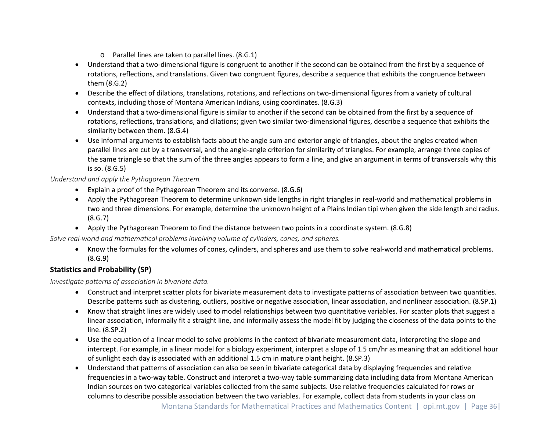- o Parallel lines are taken to parallel lines. (8.G.1)
- Understand that a two-dimensional figure is congruent to another if the second can be obtained from the first by a sequence of rotations, reflections, and translations. Given two congruent figures, describe a sequence that exhibits the congruence between them (8.G.2)
- Describe the effect of dilations, translations, rotations, and reflections on two-dimensional figures from a variety of cultural contexts, including those of Montana American Indians, using coordinates. (8.G.3)
- Understand that a two-dimensional figure is similar to another if the second can be obtained from the first by a sequence of rotations, reflections, translations, and dilations; given two similar two-dimensional figures, describe a sequence that exhibits the similarity between them. (8.G.4)
- Use informal arguments to establish facts about the angle sum and exterior angle of triangles, about the angles created when parallel lines are cut by a transversal, and the angle-angle criterion for similarity of triangles. For example, arrange three copies of the same triangle so that the sum of the three angles appears to form a line, and give an argument in terms of transversals why this is so. (8.G.5)

*Understand and apply the Pythagorean Theorem.*

- Explain a proof of the Pythagorean Theorem and its converse. (8.G.6)
- Apply the Pythagorean Theorem to determine unknown side lengths in right triangles in real-world and mathematical problems in two and three dimensions. For example, determine the unknown height of a Plains Indian tipi when given the side length and radius. (8.G.7)
- Apply the Pythagorean Theorem to find the distance between two points in a coordinate system. (8.G.8)

*Solve real-world and mathematical problems involving volume of cylinders, cones, and spheres.*

• Know the formulas for the volumes of cones, cylinders, and spheres and use them to solve real-world and mathematical problems. (8.G.9)

# **Statistics and Probability (SP)**

*Investigate patterns of association in bivariate data.*

- Construct and interpret scatter plots for bivariate measurement data to investigate patterns of association between two quantities. Describe patterns such as clustering, outliers, positive or negative association, linear association, and nonlinear association. (8.SP.1)
- Know that straight lines are widely used to model relationships between two quantitative variables. For scatter plots that suggest a linear association, informally fit a straight line, and informally assess the model fit by judging the closeness of the data points to the line. (8.SP.2)
- Use the equation of a linear model to solve problems in the context of bivariate measurement data, interpreting the slope and intercept. For example, in a linear model for a biology experiment, interpret a slope of 1.5 cm/hr as meaning that an additional hour of sunlight each day is associated with an additional 1.5 cm in mature plant height. (8.SP.3)
- Understand that patterns of association can also be seen in bivariate categorical data by displaying frequencies and relative frequencies in a two-way table. Construct and interpret a two-way table summarizing data including data from Montana American Indian sources on two categorical variables collected from the same subjects. Use relative frequencies calculated for rows or columns to describe possible association between the two variables. For example, collect data from students in your class on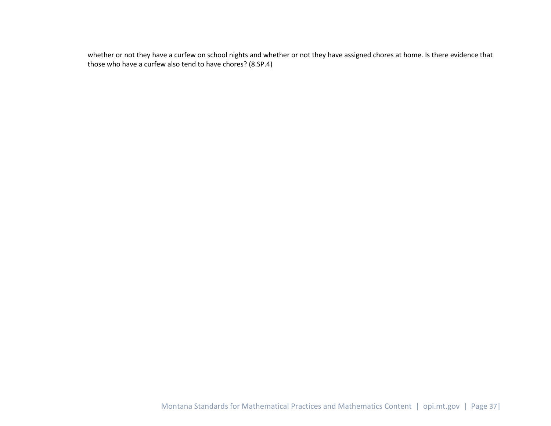whether or not they have a curfew on school nights and whether or not they have assigned chores at home. Is there evidence that those who have a curfew also tend to have chores? (8.SP.4)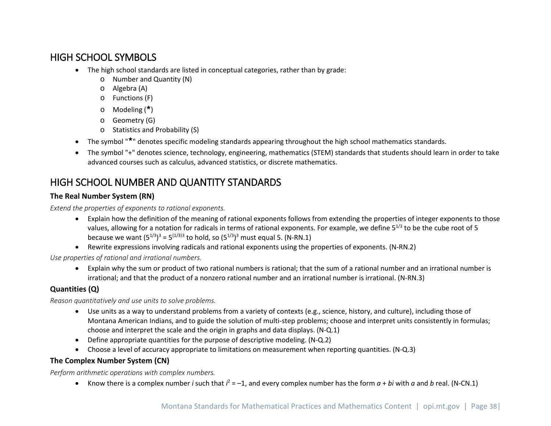# <span id="page-37-0"></span>HIGH SCHOOL SYMBOLS

- The high school standards are listed in conceptual categories, rather than by grade:
	- o Number and Quantity (N)
	- o Algebra (A)
	- o Functions (F)
	- o Modeling (★)
	- o Geometry (G)
	- o Statistics and Probability (S)
- The symbol "★" denotes specific modeling standards appearing throughout the high school mathematics standards.
- The symbol "+" denotes science, technology, engineering, mathematics (STEM) standards that students should learn in order to take advanced courses such as calculus, advanced statistics, or discrete mathematics.

# <span id="page-37-1"></span>HIGH SCHOOL NUMBER AND QUANTITY STANDARDS

#### **The Real Number System (RN)**

*Extend the properties of exponents to rational exponents.* 

- Explain how the definition of the meaning of rational exponents follows from extending the properties of integer exponents to those values, allowing for a notation for radicals in terms of rational exponents. For example, we define 5<sup>1/3</sup> to be the cube root of 5 because we want  $(5^{1/3})^3 = 5^{(1/3)3}$  to hold, so  $(5^{1/3})^3$  must equal 5. (N-RN.1)
- Rewrite expressions involving radicals and rational exponents using the properties of exponents. (N-RN.2)

*Use properties of rational and irrational numbers.* 

• Explain why the sum or product of two rational numbers is rational; that the sum of a rational number and an irrational number is irrational; and that the product of a nonzero rational number and an irrational number is irrational. (N-RN.3)

## **Quantities (Q)**

*Reason quantitatively and use units to solve problems.* 

- Use units as a way to understand problems from a variety of contexts (e.g., science, history, and culture), including those of Montana American Indians, and to guide the solution of multi-step problems; choose and interpret units consistently in formulas; choose and interpret the scale and the origin in graphs and data displays. (N-Q.1)
- Define appropriate quantities for the purpose of descriptive modeling. (N-Q.2)
- Choose a level of accuracy appropriate to limitations on measurement when reporting quantities. (N-Q.3)

#### **The Complex Number System (CN)**

*Perform arithmetic operations with complex numbers.* 

• Know there is a complex number *i* such that  $i^2 = -1$ , and every complex number has the form  $a + bi$  with  $a$  and  $b$  real. (N-CN.1)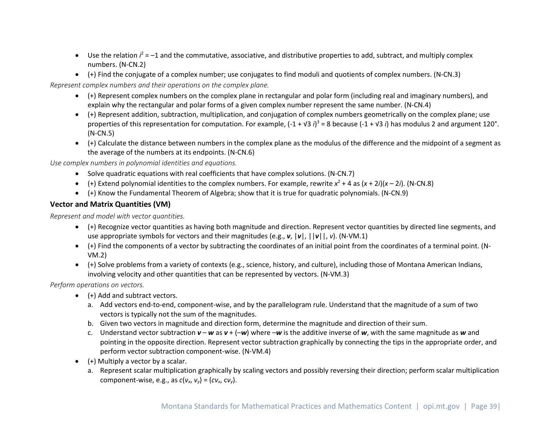- $\bullet$  Use the relation  $i^2 = -1$  and the commutative, associative, and distributive properties to add, subtract, and multiply complex numbers. (N-CN.2)
- (+) Find the conjugate of a complex number; use conjugates to find moduli and quotients of complex numbers. (N-CN.3)

*Represent complex numbers and their operations on the complex plane.*

- (+) Represent complex numbers on the complex plane in rectangular and polar form (including real and imaginary numbers), and explain why the rectangular and polar forms of a given complex number represent the same number. (N-CN.4)
- (+) Represent addition, subtraction, multiplication, and conjugation of complex numbers geometrically on the complex plane; use properties of this representation for computation. For example,  $(-1 + \sqrt{3} i)^3 = 8$  because  $(-1 + \sqrt{3} i)$  has modulus 2 and argument 120°. (N-CN.5)
- (+) Calculate the distance between numbers in the complex plane as the modulus of the difference and the midpoint of a segment as the average of the numbers at its endpoints. (N-CN.6)

*Use complex numbers in polynomial identities and equations.*

- Solve quadratic equations with real coefficients that have complex solutions. (N-CN.7)
- (+) Extend polynomial identities to the complex numbers. For example, rewrite  $x^2 + 4$  as  $(x + 2i)(x 2i)$ . (N-CN.8)
- (+) Know the Fundamental Theorem of Algebra; show that it is true for quadratic polynomials. (N-CN.9)

#### **Vector and Matrix Quantities (VM)**

*Represent and model with vector quantities.*

- (+) Recognize vector quantities as having both magnitude and direction. Represent vector quantities by directed line segments, and use appropriate symbols for vectors and their magnitudes (e.g., *v*, |*v*|, ||*v*||, *v*). (N-VM.1)
- (+) Find the components of a vector by subtracting the coordinates of an initial point from the coordinates of a terminal point. (N-VM.2)
- (+) Solve problems from a variety of contexts (e.g., science, history, and culture), including those of Montana American Indians, involving velocity and other quantities that can be represented by vectors. (N-VM.3)

*Perform operations on vectors.*

- (+) Add and subtract vectors.
	- a. Add vectors end-to-end, component-wise, and by the parallelogram rule. Understand that the magnitude of a sum of two vectors is typically not the sum of the magnitudes.
	- b. Given two vectors in magnitude and direction form, determine the magnitude and direction of their sum.
	- c. Understand vector subtraction *v w* as *v* + (–*w*) where –*w* is the additive inverse of *w*, with the same magnitude as *w* and pointing in the opposite direction. Represent vector subtraction graphically by connecting the tips in the appropriate order, and perform vector subtraction component-wise. (N-VM.4)
- (+) Multiply a vector by a scalar.
	- a. Represent scalar multiplication graphically by scaling vectors and possibly reversing their direction; perform scalar multiplication component-wise, e.g., as  $c(v_x, v_y) = (cv_x, cv_y)$ .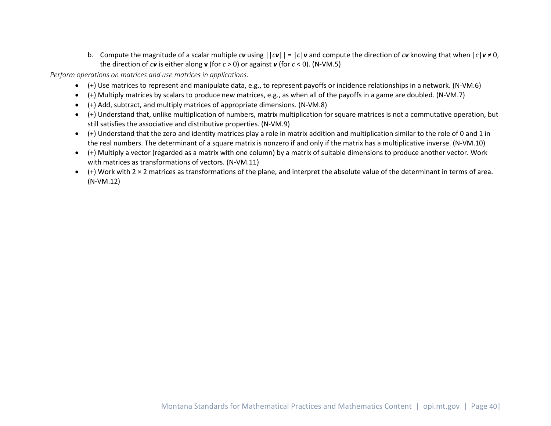b. Compute the magnitude of a scalar multiple *cv* using  $||c\mathbf{v}|| = |c|\mathbf{v}$  and compute the direction of *cv* knowing that when  $|c|\mathbf{v} \neq 0$ , the direction of *cv* is either along **v** (for *c* > 0) or against *v* (for *c* < 0). (N-VM.5)

*Perform operations on matrices and use matrices in applications.* 

- (+) Use matrices to represent and manipulate data, e.g., to represent payoffs or incidence relationships in a network. (N-VM.6)
- (+) Multiply matrices by scalars to produce new matrices, e.g., as when all of the payoffs in a game are doubled. (N-VM.7)
- (+) Add, subtract, and multiply matrices of appropriate dimensions. (N-VM.8)
- (+) Understand that, unlike multiplication of numbers, matrix multiplication for square matrices is not a commutative operation, but still satisfies the associative and distributive properties. (N-VM.9)
- (+) Understand that the zero and identity matrices play a role in matrix addition and multiplication similar to the role of 0 and 1 in the real numbers. The determinant of a square matrix is nonzero if and only if the matrix has a multiplicative inverse. (N-VM.10)
- (+) Multiply a vector (regarded as a matrix with one column) by a matrix of suitable dimensions to produce another vector. Work with matrices as transformations of vectors. (N-VM.11)
- (+) Work with 2 × 2 matrices as transformations of the plane, and interpret the absolute value of the determinant in terms of area. (N-VM.12)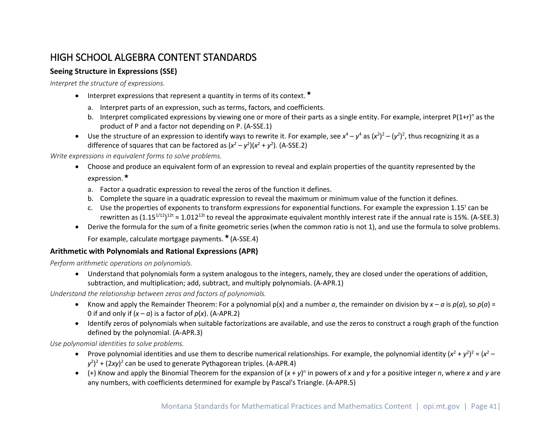# <span id="page-40-0"></span>HIGH SCHOOL ALGEBRA CONTENT STANDARDS

#### **Seeing Structure in Expressions (SSE)**

*Interpret the structure of expressions.* 

- Interpret expressions that represent a quantity in terms of its context.  $\star$ 
	- a. Interpret parts of an expression, such as terms, factors, and coefficients.
	- b. Interpret complicated expressions by viewing one or more of their parts as a single entity. For example, interpret  $P(1+r)^n$  as the product of P and a factor not depending on P. (A-SSE.1)
- Use the structure of an expression to identify ways to rewrite it. For example, see  $x^4 y^4$  as  $(x^2)^2 (y^2)^2$ , thus recognizing it as a difference of squares that can be factored as  $(x^2 - y^2)(x^2 + y^2)$ . (A-SSE.2)

#### *Write expressions in equivalent forms to solve problems.*

- Choose and produce an equivalent form of an expression to reveal and explain properties of the quantity represented by the expression. ★
	- a. Factor a quadratic expression to reveal the zeros of the function it defines.
	- b. Complete the square in a quadratic expression to reveal the maximum or minimum value of the function it defines.
	- c. Use the properties of exponents to transform expressions for exponential functions. For example the expression  $1.15^t$  can be rewritten as  $(1.15^{1/12})^{12t}$   $\approx$  1.012<sup>12t</sup> to reveal the approximate equivalent monthly interest rate if the annual rate is 15%. (A-SEE.3)
- Derive the formula for the sum of a finite geometric series (when the common ratio is not 1), and use the formula to solve problems. For example, calculate mortgage payments. ★ (A-SSE.4)

#### **Arithmetic with Polynomials and Rational Expressions (APR)**

*Perform arithmetic operations on polynomials.* 

• Understand that polynomials form a system analogous to the integers, namely, they are closed under the operations of addition, subtraction, and multiplication; add, subtract, and multiply polynomials. (A-APR.1)

*Understand the relationship between zeros and factors of polynomials.*

- Know and apply the Remainder Theorem: For a polynomial  $p(x)$  and a number *a*, the remainder on division by  $x a$  is  $p(a)$ , so  $p(a) =$ 0 if and only if  $(x - a)$  is a factor of  $p(x)$ . (A-APR.2)
- Identify zeros of polynomials when suitable factorizations are available, and use the zeros to construct a rough graph of the function defined by the polynomial. (A-APR.3)

*Use polynomial identities to solve problems.* 

- Prove polynomial identities and use them to describe numerical relationships. For example, the polynomial identity  $(x^2 + y^2)^2 = (x^2 y^2)^2$ y<sup>2</sup>)<sup>2</sup> + (2xy)<sup>2</sup> can be used to generate Pythagorean triples. (A-APR.4)
- (+) Know and apply the Binomial Theorem for the expansion of  $(x + y)^n$  in powers of x and y for a positive integer *n*, where x and y are any numbers, with coefficients determined for example by Pascal's Triangle. (A-APR.5)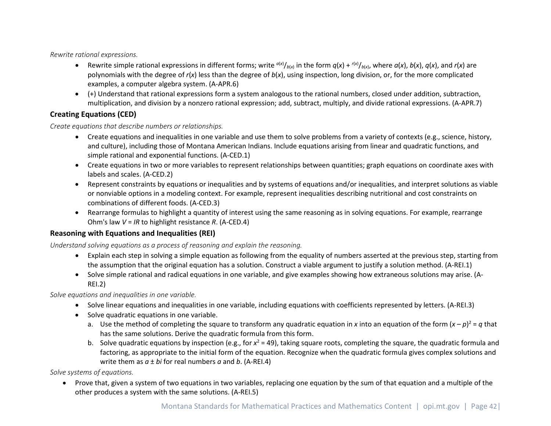*Rewrite rational expressions.*

- Rewrite simple rational expressions in different forms; write  $\frac{a(x)}{b(x)}$  in the form  $q(x) + \frac{r(x)}{b(x)}$ , where  $a(x)$ ,  $b(x)$ ,  $q(x)$ , and  $r(x)$  are polynomials with the degree of *r*(*x*) less than the degree of *b*(*x*), using inspection, long division, or, for the more complicated examples, a computer algebra system. (A-APR.6)
- (+) Understand that rational expressions form a system analogous to the rational numbers, closed under addition, subtraction, multiplication, and division by a nonzero rational expression; add, subtract, multiply, and divide rational expressions. (A-APR.7)

# **Creating Equations (CED)**

*Create equations that describe numbers or relationships.*

- Create equations and inequalities in one variable and use them to solve problems from a variety of contexts (e.g., science, history, and culture), including those of Montana American Indians. Include equations arising from linear and quadratic functions, and simple rational and exponential functions. (A-CED.1)
- Create equations in two or more variables to represent relationships between quantities; graph equations on coordinate axes with labels and scales. (A-CED.2)
- Represent constraints by equations or inequalities and by systems of equations and/or inequalities, and interpret solutions as viable or nonviable options in a modeling context. For example, represent inequalities describing nutritional and cost constraints on combinations of different foods. (A-CED.3)
- Rearrange formulas to highlight a quantity of interest using the same reasoning as in solving equations. For example, rearrange Ohm's law *V* = *IR* to highlight resistance *R*. (A-CED.4)

#### **Reasoning with Equations and Inequalities (REI)**

*Understand solving equations as a process of reasoning and explain the reasoning.*

- Explain each step in solving a simple equation as following from the equality of numbers asserted at the previous step, starting from the assumption that the original equation has a solution. Construct a viable argument to justify a solution method. (A-REI.1)
- Solve simple rational and radical equations in one variable, and give examples showing how extraneous solutions may arise. (A-REI.2)

*Solve equations and inequalities in one variable.*

- Solve linear equations and inequalities in one variable, including equations with coefficients represented by letters. (A-REI.3)
- Solve quadratic equations in one variable.
	- a. Use the method of completing the square to transform any quadratic equation in *x* into an equation of the form  $(x p)^2 = q$  that has the same solutions. Derive the quadratic formula from this form.
	- b. Solve quadratic equations by inspection (e.g., for  $x^2 = 49$ ), taking square roots, completing the square, the quadratic formula and factoring, as appropriate to the initial form of the equation. Recognize when the quadratic formula gives complex solutions and write them as  $a \pm bi$  for real numbers  $a$  and  $b$ . (A-REI.4)

#### *Solve systems of equations.*

• Prove that, given a system of two equations in two variables, replacing one equation by the sum of that equation and a multiple of the other produces a system with the same solutions. (A-REI.5)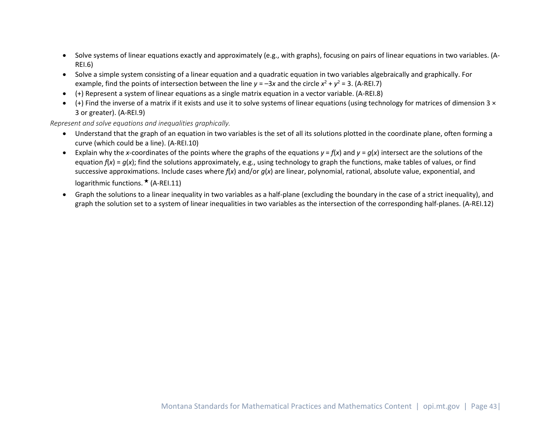- Solve systems of linear equations exactly and approximately (e.g., with graphs), focusing on pairs of linear equations in two variables. (A-REI.6)
- Solve a simple system consisting of a linear equation and a quadratic equation in two variables algebraically and graphically. For example, find the points of intersection between the line  $y = -3x$  and the circle  $x^2 + y^2 = 3$ . (A-REI.7)
- (+) Represent a system of linear equations as a single matrix equation in a vector variable. (A-REI.8)
- $\bullet$  (+) Find the inverse of a matrix if it exists and use it to solve systems of linear equations (using technology for matrices of dimension 3  $\times$ 3 or greater). (A-REI.9)

*Represent and solve equations and inequalities graphically.* 

- Understand that the graph of an equation in two variables is the set of all its solutions plotted in the coordinate plane, often forming a curve (which could be a line). (A-REI.10)
- Explain why the *x*-coordinates of the points where the graphs of the equations  $y = f(x)$  and  $y = g(x)$  intersect are the solutions of the equation  $f(x) = g(x)$ ; find the solutions approximately, e.g., using technology to graph the functions, make tables of values, or find successive approximations. Include cases where *f*(*x*) and/or *g*(*x*) are linear, polynomial, rational, absolute value, exponential, and logarithmic functions. ★ (A-REI.11)
- Graph the solutions to a linear inequality in two variables as a half-plane (excluding the boundary in the case of a strict inequality), and graph the solution set to a system of linear inequalities in two variables as the intersection of the corresponding half-planes. (A-REI.12)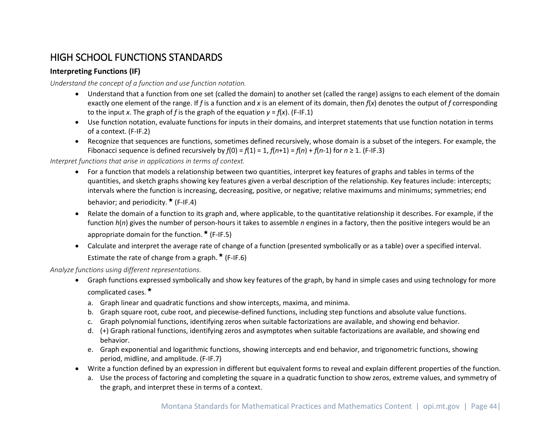# <span id="page-43-0"></span>HIGH SCHOOL FUNCTIONS STANDARDS

# **Interpreting Functions (IF)**

*Understand the concept of a function and use function notation.* 

- Understand that a function from one set (called the domain) to another set (called the range) assigns to each element of the domain exactly one element of the range. If *f* is a function and *x* is an element of its domain, then *f*(*x*) denotes the output of *f* corresponding to the input *x*. The graph of *f* is the graph of the equation  $y = f(x)$ . (F-IF.1)
- Use function notation, evaluate functions for inputs in their domains, and interpret statements that use function notation in terms of a context. (F-IF.2)
- Recognize that sequences are functions, sometimes defined recursively, whose domain is a subset of the integers. For example, the Fibonacci sequence is defined recursively by  $f(0) = f(1) = 1$ ,  $f(n+1) = f(n) + f(n-1)$  for  $n \ge 1$ . (F-IF.3)

*Interpret functions that arise in applications in terms of context.* 

- For a function that models a relationship between two quantities, interpret key features of graphs and tables in terms of the quantities, and sketch graphs showing key features given a verbal description of the relationship. Key features include: intercepts; intervals where the function is increasing, decreasing, positive, or negative; relative maximums and minimums; symmetries; end behavior; and periodicity.  $\star$  (F-IF.4)
- Relate the domain of a function to its graph and, where applicable, to the quantitative relationship it describes. For example, if the function *h*(*n*) gives the number of person-hours it takes to assemble *n* engines in a factory, then the positive integers would be an appropriate domain for the function. ★ (F-IF.5)
- Calculate and interpret the average rate of change of a function (presented symbolically or as a table) over a specified interval. Estimate the rate of change from a graph.  $\star$  (F-IF.6)

*Analyze functions using different representations.* 

• Graph functions expressed symbolically and show key features of the graph, by hand in simple cases and using technology for more

complicated cases. ★

- a. Graph linear and quadratic functions and show intercepts, maxima, and minima.
- b. Graph square root, cube root, and piecewise-defined functions, including step functions and absolute value functions.
- c. Graph polynomial functions, identifying zeros when suitable factorizations are available, and showing end behavior.
- d. (+) Graph rational functions, identifying zeros and asymptotes when suitable factorizations are available, and showing end behavior.
- e. Graph exponential and logarithmic functions, showing intercepts and end behavior, and trigonometric functions, showing period, midline, and amplitude. (F-IF.7)
- Write a function defined by an expression in different but equivalent forms to reveal and explain different properties of the function.
	- a. Use the process of factoring and completing the square in a quadratic function to show zeros, extreme values, and symmetry of the graph, and interpret these in terms of a context.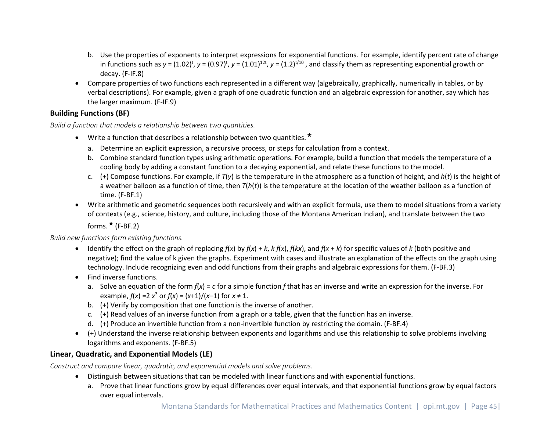- b. Use the properties of exponents to interpret expressions for exponential functions. For example, identify percent rate of change in functions such as  $y = (1.02)^t$ ,  $y = (0.97)^t$ ,  $y = (1.01)^{12t}$ ,  $y = (1.2)^{t/10}$ , and classify them as representing exponential growth or decay. (F-IF.8)
- Compare properties of two functions each represented in a different way (algebraically, graphically, numerically in tables, or by verbal descriptions). For example, given a graph of one quadratic function and an algebraic expression for another, say which has the larger maximum. (F-IF.9)

## **Building Functions (BF)**

*Build a function that models a relationship between two quantities.*

- Write a function that describes a relationship between two quantities. **\*** 
	- a. Determine an explicit expression, a recursive process, or steps for calculation from a context.
	- b. Combine standard function types using arithmetic operations. For example, build a function that models the temperature of a cooling body by adding a constant function to a decaying exponential, and relate these functions to the model.
	- c. (+) Compose functions. For example, if *T*(*y*) is the temperature in the atmosphere as a function of height, and *h*(*t*) is the height of a weather balloon as a function of time, then *T*(*h*(*t*)) is the temperature at the location of the weather balloon as a function of time. (F-BF.1)
- Write arithmetic and geometric sequences both recursively and with an explicit formula, use them to model situations from a variety of contexts (e.g., science, history, and culture, including those of the Montana American Indian), and translate between the two

forms. ★ (F-BF.2)

#### *Build new functions form existing functions.*

- Identify the effect on the graph of replacing  $f(x)$  by  $f(x) + k$ ,  $k f(x)$ ,  $f(kx)$ , and  $f(x + k)$  for specific values of k (both positive and negative); find the value of k given the graphs. Experiment with cases and illustrate an explanation of the effects on the graph using technology. Include recognizing even and odd functions from their graphs and algebraic expressions for them. (F-BF.3)
- Find inverse functions.
	- a. Solve an equation of the form *f*(*x*) = *c* for a simple function *f* that has an inverse and write an expression for the inverse. For example,  $f(x) = 2x^3$  or  $f(x) = (x+1)/(x-1)$  for  $x \ne 1$ .
	- b. (+) Verify by composition that one function is the inverse of another.
	- c. (+) Read values of an inverse function from a graph or a table, given that the function has an inverse.
	- d. (+) Produce an invertible function from a non-invertible function by restricting the domain. (F-BF.4)
- (+) Understand the inverse relationship between exponents and logarithms and use this relationship to solve problems involving logarithms and exponents. (F-BF.5)

## **Linear, Quadratic, and Exponential Models (LE)**

*Construct and compare linear, quadratic, and exponential models and solve problems.*

- Distinguish between situations that can be modeled with linear functions and with exponential functions.
	- a. Prove that linear functions grow by equal differences over equal intervals, and that exponential functions grow by equal factors over equal intervals.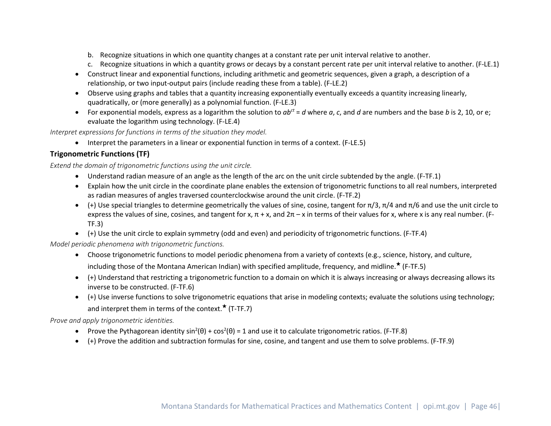- b. Recognize situations in which one quantity changes at a constant rate per unit interval relative to another.
- c. Recognize situations in which a quantity grows or decays by a constant percent rate per unit interval relative to another. (F-LE.1)
- Construct linear and exponential functions, including arithmetic and geometric sequences, given a graph, a description of a relationship, or two input-output pairs (include reading these from a table). (F-LE.2)
- Observe using graphs and tables that a quantity increasing exponentially eventually exceeds a quantity increasing linearly, quadratically, or (more generally) as a polynomial function. (F-LE.3)
- For exponential models, express as a logarithm the solution to  $ab^{ct} = d$  where  $a, c$ , and  $d$  are numbers and the base  $b$  is 2, 10, or e; evaluate the logarithm using technology. (F-LE.4)

*Interpret expressions for functions in terms of the situation they model.*

• Interpret the parameters in a linear or exponential function in terms of a context. (F-LE.5)

## **Trigonometric Functions (TF)**

*Extend the domain of trigonometric functions using the unit circle.*

- Understand radian measure of an angle as the length of the arc on the unit circle subtended by the angle. (F-TF.1)
- Explain how the unit circle in the coordinate plane enables the extension of trigonometric functions to all real numbers, interpreted as radian measures of angles traversed counterclockwise around the unit circle. (F-TF.2)
- (+) Use special triangles to determine geometrically the values of sine, cosine, tangent for  $\pi/3$ ,  $\pi/4$  and  $\pi/6$  and use the unit circle to express the values of sine, cosines, and tangent for x,  $π + x$ , and  $2π - x$  in terms of their values for x, where x is any real number. (F-TF.3)
- (+) Use the unit circle to explain symmetry (odd and even) and periodicity of trigonometric functions. (F-TF.4)

*Model periodic phenomena with trigonometric functions.*

- Choose trigonometric functions to model periodic phenomena from a variety of contexts (e.g., science, history, and culture, including those of the Montana American Indian) with specified amplitude, frequency, and midline. ★ (F-TF.5)
- (+) Understand that restricting a trigonometric function to a domain on which it is always increasing or always decreasing allows its inverse to be constructed. (F-TF.6)
- (+) Use inverse functions to solve trigonometric equations that arise in modeling contexts; evaluate the solutions using technology; and interpret them in terms of the context. ★ (T-TF.7)

*Prove and apply trigonometric identities.*

- Prove the Pythagorean identity  $sin^2(\theta) + cos^2(\theta) = 1$  and use it to calculate trigonometric ratios. (F-TF.8)
- (+) Prove the addition and subtraction formulas for sine, cosine, and tangent and use them to solve problems. (F-TF.9)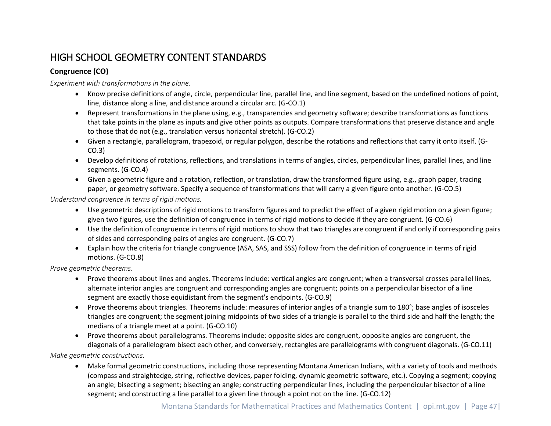# <span id="page-46-0"></span>HIGH SCHOOL GEOMETRY CONTENT STANDARDS

## **Congruence (CO)**

*Experiment with transformations in the plane.* 

- Know precise definitions of angle, circle, perpendicular line, parallel line, and line segment, based on the undefined notions of point, line, distance along a line, and distance around a circular arc. (G-CO.1)
- Represent transformations in the plane using, e.g., transparencies and geometry software; describe transformations as functions that take points in the plane as inputs and give other points as outputs. Compare transformations that preserve distance and angle to those that do not (e.g., translation versus horizontal stretch). (G-CO.2)
- Given a rectangle, parallelogram, trapezoid, or regular polygon, describe the rotations and reflections that carry it onto itself. (G-CO.3)
- Develop definitions of rotations, reflections, and translations in terms of angles, circles, perpendicular lines, parallel lines, and line segments. (G-CO.4)
- Given a geometric figure and a rotation, reflection, or translation, draw the transformed figure using, e.g., graph paper, tracing paper, or geometry software. Specify a sequence of transformations that will carry a given figure onto another. (G-CO.5)

*Understand congruence in terms of rigid motions.* 

- Use geometric descriptions of rigid motions to transform figures and to predict the effect of a given rigid motion on a given figure; given two figures, use the definition of congruence in terms of rigid motions to decide if they are congruent. (G-CO.6)
- Use the definition of congruence in terms of rigid motions to show that two triangles are congruent if and only if corresponding pairs of sides and corresponding pairs of angles are congruent. (G-CO.7)
- Explain how the criteria for triangle congruence (ASA, SAS, and SSS) follow from the definition of congruence in terms of rigid motions. (G-CO.8)

*Prove geometric theorems.* 

- Prove theorems about lines and angles. Theorems include: vertical angles are congruent; when a transversal crosses parallel lines, alternate interior angles are congruent and corresponding angles are congruent; points on a perpendicular bisector of a line segment are exactly those equidistant from the segment's endpoints. (G-CO.9)
- Prove theorems about triangles. Theorems include: measures of interior angles of a triangle sum to 180°; base angles of isosceles triangles are congruent; the segment joining midpoints of two sides of a triangle is parallel to the third side and half the length; the medians of a triangle meet at a point. (G-CO.10)
- Prove theorems about parallelograms. Theorems include: opposite sides are congruent, opposite angles are congruent, the diagonals of a parallelogram bisect each other, and conversely, rectangles are parallelograms with congruent diagonals. (G-CO.11)

*Make geometric constructions.* 

• Make formal geometric constructions, including those representing Montana American Indians, with a variety of tools and methods (compass and straightedge, string, reflective devices, paper folding, dynamic geometric software, etc.). Copying a segment; copying an angle; bisecting a segment; bisecting an angle; constructing perpendicular lines, including the perpendicular bisector of a line segment; and constructing a line parallel to a given line through a point not on the line. (G-CO.12)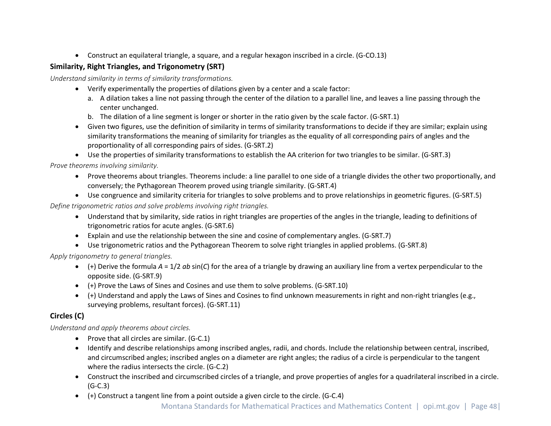• Construct an equilateral triangle, a square, and a regular hexagon inscribed in a circle. (G-CO.13)

## **Similarity, Right Triangles, and Trigonometry (SRT)**

*Understand similarity in terms of similarity transformations.*

- Verify experimentally the properties of dilations given by a center and a scale factor:
	- a. A dilation takes a line not passing through the center of the dilation to a parallel line, and leaves a line passing through the center unchanged.
	- b. The dilation of a line segment is longer or shorter in the ratio given by the scale factor. (G-SRT.1)
- Given two figures, use the definition of similarity in terms of similarity transformations to decide if they are similar; explain using similarity transformations the meaning of similarity for triangles as the equality of all corresponding pairs of angles and the proportionality of all corresponding pairs of sides. (G-SRT.2)
- Use the properties of similarity transformations to establish the AA criterion for two triangles to be similar. (G-SRT.3)

*Prove theorems involving similarity.*

- Prove theorems about triangles. Theorems include: a line parallel to one side of a triangle divides the other two proportionally, and conversely; the Pythagorean Theorem proved using triangle similarity. (G-SRT.4)
- Use congruence and similarity criteria for triangles to solve problems and to prove relationships in geometric figures. (G-SRT.5)

*Define trigonometric ratios and solve problems involving right triangles.*

- Understand that by similarity, side ratios in right triangles are properties of the angles in the triangle, leading to definitions of trigonometric ratios for acute angles. (G-SRT.6)
- Explain and use the relationship between the sine and cosine of complementary angles. (G-SRT.7)
- Use trigonometric ratios and the Pythagorean Theorem to solve right triangles in applied problems. (G-SRT.8)

*Apply trigonometry to general triangles.*

- (+) Derive the formula *A* = 1/2 *ab* sin(*C*) for the area of a triangle by drawing an auxiliary line from a vertex perpendicular to the opposite side. (G-SRT.9)
- (+) Prove the Laws of Sines and Cosines and use them to solve problems. (G-SRT.10)
- (+) Understand and apply the Laws of Sines and Cosines to find unknown measurements in right and non-right triangles (e.g., surveying problems, resultant forces). (G-SRT.11)

# **Circles (C)**

*Understand and apply theorems about circles.*

- Prove that all circles are similar. (G-C.1)
- Identify and describe relationships among inscribed angles, radii, and chords. Include the relationship between central, inscribed, and circumscribed angles; inscribed angles on a diameter are right angles; the radius of a circle is perpendicular to the tangent where the radius intersects the circle. (G-C.2)
- Construct the inscribed and circumscribed circles of a triangle, and prove properties of angles for a quadrilateral inscribed in a circle. (G-C.3)
- (+) Construct a tangent line from a point outside a given circle to the circle. (G-C.4)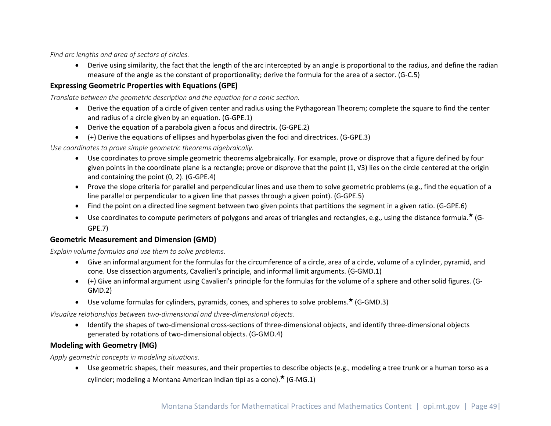*Find arc lengths and area of sectors of circles.*

• Derive using similarity, the fact that the length of the arc intercepted by an angle is proportional to the radius, and define the radian measure of the angle as the constant of proportionality; derive the formula for the area of a sector. (G-C.5)

## **Expressing Geometric Properties with Equations (GPE)**

*Translate between the geometric description and the equation for a conic section.*

- Derive the equation of a circle of given center and radius using the Pythagorean Theorem; complete the square to find the center and radius of a circle given by an equation. (G-GPE.1)
- Derive the equation of a parabola given a focus and directrix. (G-GPE.2)
- (+) Derive the equations of ellipses and hyperbolas given the foci and directrices. (G-GPE.3)

*Use coordinates to prove simple geometric theorems algebraically.*

- Use coordinates to prove simple geometric theorems algebraically. For example, prove or disprove that a figure defined by four given points in the coordinate plane is a rectangle; prove or disprove that the point (1, √3) lies on the circle centered at the origin and containing the point (0, 2). (G-GPE.4)
- Prove the slope criteria for parallel and perpendicular lines and use them to solve geometric problems (e.g., find the equation of a line parallel or perpendicular to a given line that passes through a given point). (G-GPE.5)
- Find the point on a directed line segment between two given points that partitions the segment in a given ratio. (G-GPE.6)
- Use coordinates to compute perimeters of polygons and areas of triangles and rectangles, e.g., using the distance formula. ★ (G-GPE.7)

#### **Geometric Measurement and Dimension (GMD)**

*Explain volume formulas and use them to solve problems.*

- Give an informal argument for the formulas for the circumference of a circle, area of a circle, volume of a cylinder, pyramid, and cone. Use dissection arguments, Cavalieri's principle, and informal limit arguments. (G-GMD.1)
- (+) Give an informal argument using Cavalieri's principle for the formulas for the volume of a sphere and other solid figures. (G-GMD.2)
- Use volume formulas for cylinders, pyramids, cones, and spheres to solve problems. ★ (G-GMD.3)

*Visualize relationships between two-dimensional and three-dimensional objects.*

• Identify the shapes of two-dimensional cross-sections of three-dimensional objects, and identify three-dimensional objects generated by rotations of two-dimensional objects. (G-GMD.4)

# **Modeling with Geometry (MG)**

*Apply geometric concepts in modeling situations.*

• Use geometric shapes, their measures, and their properties to describe objects (e.g., modeling a tree trunk or a human torso as a cylinder; modeling a Montana American Indian tipi as a cone). ★ (G-MG.1)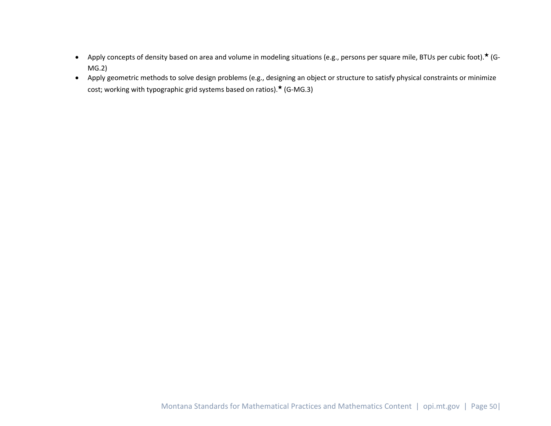- Apply concepts of density based on area and volume in modeling situations (e.g., persons per square mile, BTUs per cubic foot). ★ (G-MG.2)
- Apply geometric methods to solve design problems (e.g., designing an object or structure to satisfy physical constraints or minimize cost; working with typographic grid systems based on ratios). ★ (G-MG.3)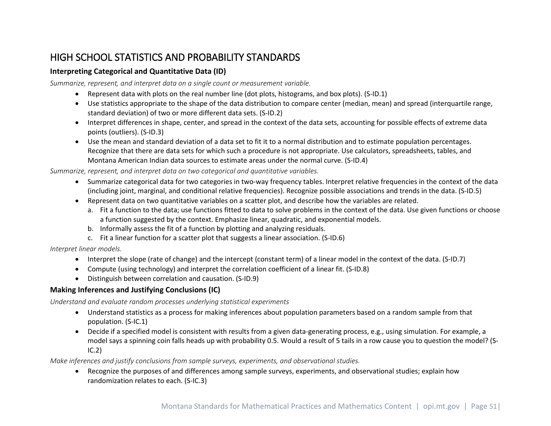# <span id="page-50-0"></span>HIGH SCHOOL STATISTICS AND PROBABILITY STANDARDS

#### **Interpreting Categorical and Quantitative Data (ID)**

*Summarize, represent, and interpret data on a single count or measurement variable.* 

- Represent data with plots on the real number line (dot plots, histograms, and box plots). (S-ID.1)
- Use statistics appropriate to the shape of the data distribution to compare center (median, mean) and spread (interquartile range, standard deviation) of two or more different data sets. (S-ID.2)
- Interpret differences in shape, center, and spread in the context of the data sets, accounting for possible effects of extreme data points (outliers). (S-ID.3)
- Use the mean and standard deviation of a data set to fit it to a normal distribution and to estimate population percentages. Recognize that there are data sets for which such a procedure is not appropriate. Use calculators, spreadsheets, tables, and Montana American Indian data sources to estimate areas under the normal curve. (S-ID.4)

*Summarize, represent, and interpret data on two categorical and quantitative variables.* 

- Summarize categorical data for two categories in two-way frequency tables. Interpret relative frequencies in the context of the data (including joint, marginal, and conditional relative frequencies). Recognize possible associations and trends in the data. (S-ID.5)
- Represent data on two quantitative variables on a scatter plot, and describe how the variables are related.
	- a. Fit a function to the data; use functions fitted to data to solve problems in the context of the data. Use given functions or choose a function suggested by the context. Emphasize linear, quadratic, and exponential models.
	- b. Informally assess the fit of a function by plotting and analyzing residuals.
	- c. Fit a linear function for a scatter plot that suggests a linear association. (S-ID.6)

#### *Interpret linear models.*

- Interpret the slope (rate of change) and the intercept (constant term) of a linear model in the context of the data. (S-ID.7)
- Compute (using technology) and interpret the correlation coefficient of a linear fit. (S-ID.8)
- Distinguish between correlation and causation. (S-ID.9)

#### **Making Inferences and Justifying Conclusions (IC)**

*Understand and evaluate random processes underlying statistical experiments*

- Understand statistics as a process for making inferences about population parameters based on a random sample from that population. (S-IC.1)
- Decide if a specified model is consistent with results from a given data-generating process, e.g., using simulation. For example, a model says a spinning coin falls heads up with probability 0.5. Would a result of 5 tails in a row cause you to question the model? (S- $IC.2)$

*Make inferences and justify conclusions from sample surveys, experiments, and observational studies.* 

• Recognize the purposes of and differences among sample surveys, experiments, and observational studies; explain how randomization relates to each. (S-IC.3)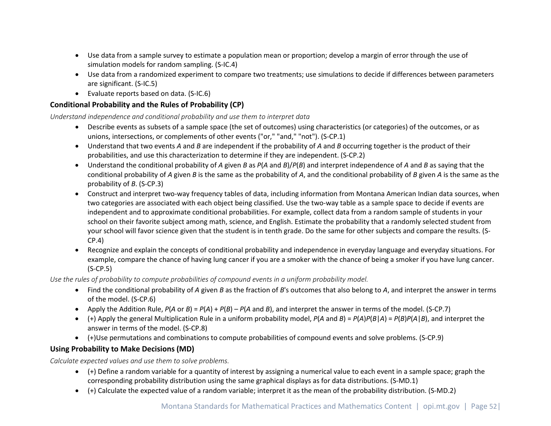- Use data from a sample survey to estimate a population mean or proportion; develop a margin of error through the use of simulation models for random sampling. (S-IC.4)
- Use data from a randomized experiment to compare two treatments; use simulations to decide if differences between parameters are significant. (S-IC.5)
- Evaluate reports based on data. (S-IC.6)

#### **Conditional Probability and the Rules of Probability (CP)**

*Understand independence and conditional probability and use them to interpret data*

- Describe events as subsets of a sample space (the set of outcomes) using characteristics (or categories) of the outcomes, or as unions, intersections, or complements of other events ("or," "and," "not"). (S-CP.1)
- Understand that two events *A* and *B* are independent if the probability of *A* and *B* occurring together is the product of their probabilities, and use this characterization to determine if they are independent. (S-CP.2)
- Understand the conditional probability of *A* given *B* as *P*(*A* and *B*)/*P*(*B*) and interpret independence of *A* and *B* as saying that the conditional probability of *A* given *B* is the same as the probability of *A*, and the conditional probability of *B* given *A* is the same as the probability of *B*. (S-CP.3)
- Construct and interpret two-way frequency tables of data, including information from Montana American Indian data sources, when two categories are associated with each object being classified. Use the two-way table as a sample space to decide if events are independent and to approximate conditional probabilities. For example, collect data from a random sample of students in your school on their favorite subject among math, science, and English. Estimate the probability that a randomly selected student from your school will favor science given that the student is in tenth grade. Do the same for other subjects and compare the results. (S-CP.4)
- Recognize and explain the concepts of conditional probability and independence in everyday language and everyday situations. For example, compare the chance of having lung cancer if you are a smoker with the chance of being a smoker if you have lung cancer. (S-CP.5)

*Use the rules of probability to compute probabilities of compound events in a uniform probability model.*

- Find the conditional probability of *A* given *B* as the fraction of *B*'s outcomes that also belong to *A*, and interpret the answer in terms of the model. (S-CP.6)
- Apply the Addition Rule, *P*(*A* or *B*) = *P*(*A*) + *P*(*B*) *P*(*A* and *B*), and interpret the answer in terms of the model. (S-CP.7)
- (+) Apply the general Multiplication Rule in a uniform probability model, *P*(*A* and *B*) = *P*(*A*)*P*(*B*|*A*) = *P*(*B*)*P*(*A*|*B*), and interpret the answer in terms of the model. (S-CP.8)
- (+)Use permutations and combinations to compute probabilities of compound events and solve problems. (S-CP.9)

#### **Using Probability to Make Decisions (MD)**

*Calculate expected values and use them to solve problems.*

- (+) Define a random variable for a quantity of interest by assigning a numerical value to each event in a sample space; graph the corresponding probability distribution using the same graphical displays as for data distributions. (S-MD.1)
- (+) Calculate the expected value of a random variable; interpret it as the mean of the probability distribution. (S-MD.2)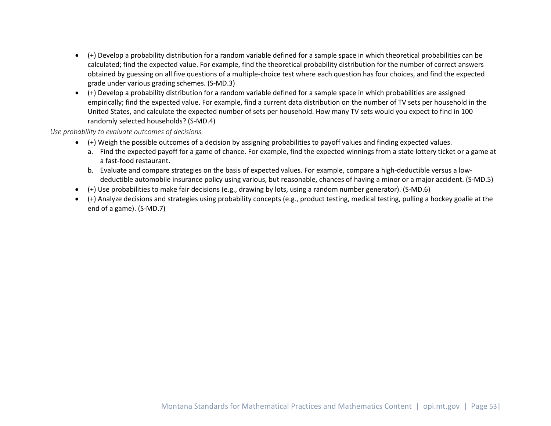- (+) Develop a probability distribution for a random variable defined for a sample space in which theoretical probabilities can be calculated; find the expected value. For example, find the theoretical probability distribution for the number of correct answers obtained by guessing on all five questions of a multiple-choice test where each question has four choices, and find the expected grade under various grading schemes. (S-MD.3)
- (+) Develop a probability distribution for a random variable defined for a sample space in which probabilities are assigned empirically; find the expected value. For example, find a current data distribution on the number of TV sets per household in the United States, and calculate the expected number of sets per household. How many TV sets would you expect to find in 100 randomly selected households? (S-MD.4)

#### *Use probability to evaluate outcomes of decisions.*

- (+) Weigh the possible outcomes of a decision by assigning probabilities to payoff values and finding expected values.
	- a. Find the expected payoff for a game of chance. For example, find the expected winnings from a state lottery ticket or a game at a fast-food restaurant.
	- b. Evaluate and compare strategies on the basis of expected values. For example, compare a high-deductible versus a lowdeductible automobile insurance policy using various, but reasonable, chances of having a minor or a major accident. (S-MD.5)
- (+) Use probabilities to make fair decisions (e.g., drawing by lots, using a random number generator). (S-MD.6)
- (+) Analyze decisions and strategies using probability concepts (e.g., product testing, medical testing, pulling a hockey goalie at the end of a game). (S-MD.7)